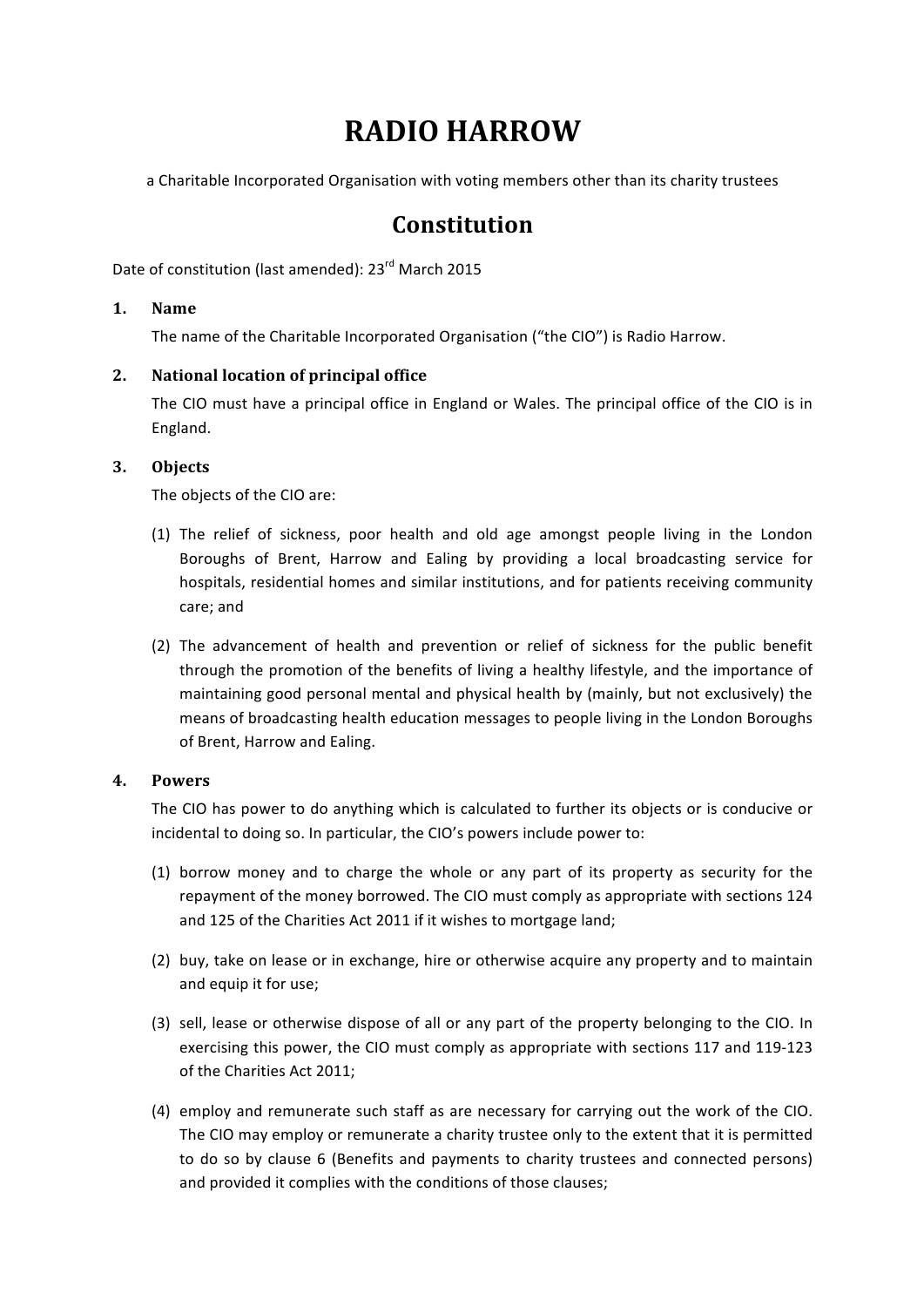# **RADIO HARROW**

a Charitable Incorporated Organisation with voting members other than its charity trustees

# **Constitution**

Date of constitution (last amended): 23<sup>rd</sup> March 2015

# **1. Name**

The name of the Charitable Incorporated Organisation ("the CIO") is Radio Harrow.

# **2.** National location of principal office

The CIO must have a principal office in England or Wales. The principal office of the CIO is in England.

# **3. Objects**

The objects of the CIO are:

- (1) The relief of sickness, poor health and old age amongst people living in the London Boroughs of Brent, Harrow and Ealing by providing a local broadcasting service for hospitals, residential homes and similar institutions, and for patients receiving community care; and
- (2) The advancement of health and prevention or relief of sickness for the public benefit through the promotion of the benefits of living a healthy lifestyle, and the importance of maintaining good personal mental and physical health by (mainly, but not exclusively) the means of broadcasting health education messages to people living in the London Boroughs of Brent, Harrow and Ealing.

# **4. Powers**

The CIO has power to do anything which is calculated to further its objects or is conducive or incidental to doing so. In particular, the CIO's powers include power to:

- (1) borrow money and to charge the whole or any part of its property as security for the repayment of the money borrowed. The CIO must comply as appropriate with sections 124 and 125 of the Charities Act 2011 if it wishes to mortgage land;
- (2) buy, take on lease or in exchange, hire or otherwise acquire any property and to maintain and equip it for use;
- (3) sell, lease or otherwise dispose of all or any part of the property belonging to the CIO. In exercising this power, the CIO must comply as appropriate with sections 117 and 119-123 of the Charities Act 2011;
- (4) employ and remunerate such staff as are necessary for carrying out the work of the CIO. The CIO may employ or remunerate a charity trustee only to the extent that it is permitted to do so by clause 6 (Benefits and payments to charity trustees and connected persons) and provided it complies with the conditions of those clauses;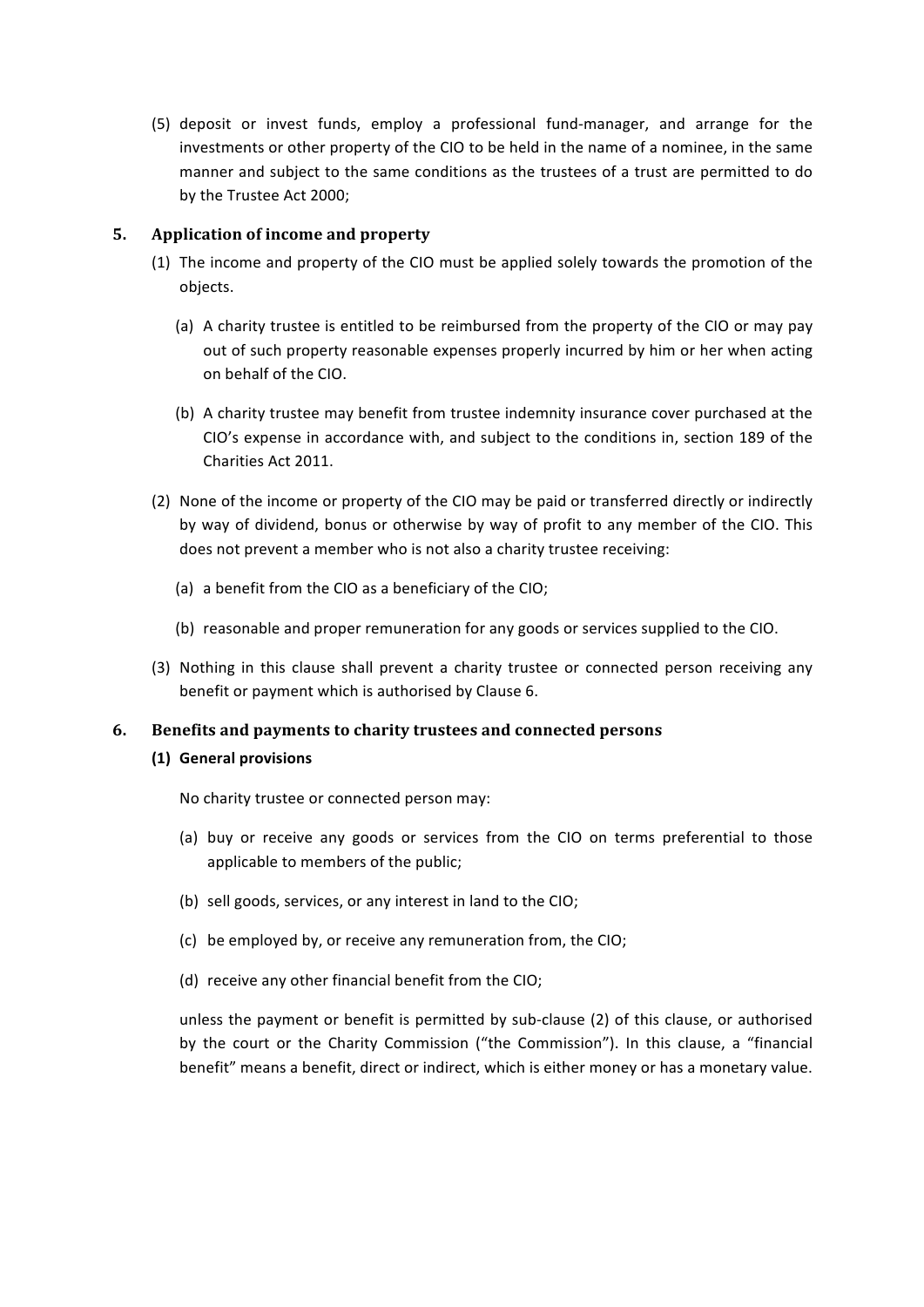(5) deposit or invest funds, employ a professional fund-manager, and arrange for the investments or other property of the CIO to be held in the name of a nominee, in the same manner and subject to the same conditions as the trustees of a trust are permitted to do by the Trustee Act 2000;

# **5. Application of income and property**

- (1) The income and property of the CIO must be applied solely towards the promotion of the objects.
	- (a) A charity trustee is entitled to be reimbursed from the property of the CIO or may pay out of such property reasonable expenses properly incurred by him or her when acting on behalf of the CIO.
	- (b) A charity trustee may benefit from trustee indemnity insurance cover purchased at the CIO's expense in accordance with, and subject to the conditions in, section 189 of the Charities Act 2011.
- (2) None of the income or property of the CIO may be paid or transferred directly or indirectly by way of dividend, bonus or otherwise by way of profit to any member of the CIO. This does not prevent a member who is not also a charity trustee receiving:
	- (a) a benefit from the CIO as a beneficiary of the CIO;
	- (b) reasonable and proper remuneration for any goods or services supplied to the CIO.
- (3) Nothing in this clause shall prevent a charity trustee or connected person receiving any benefit or payment which is authorised by Clause 6.
- **6. Benefits and payments to charity trustees and connected persons**
	- **(1) General provisions**

No charity trustee or connected person may:

- (a) buy or receive any goods or services from the CIO on terms preferential to those applicable to members of the public;
- (b) sell goods, services, or any interest in land to the CIO;
- (c) be employed by, or receive any remuneration from, the CIO;
- (d) receive any other financial benefit from the CIO;

unless the payment or benefit is permitted by sub-clause  $(2)$  of this clause, or authorised by the court or the Charity Commission ("the Commission"). In this clause, a "financial benefit" means a benefit, direct or indirect, which is either money or has a monetary value.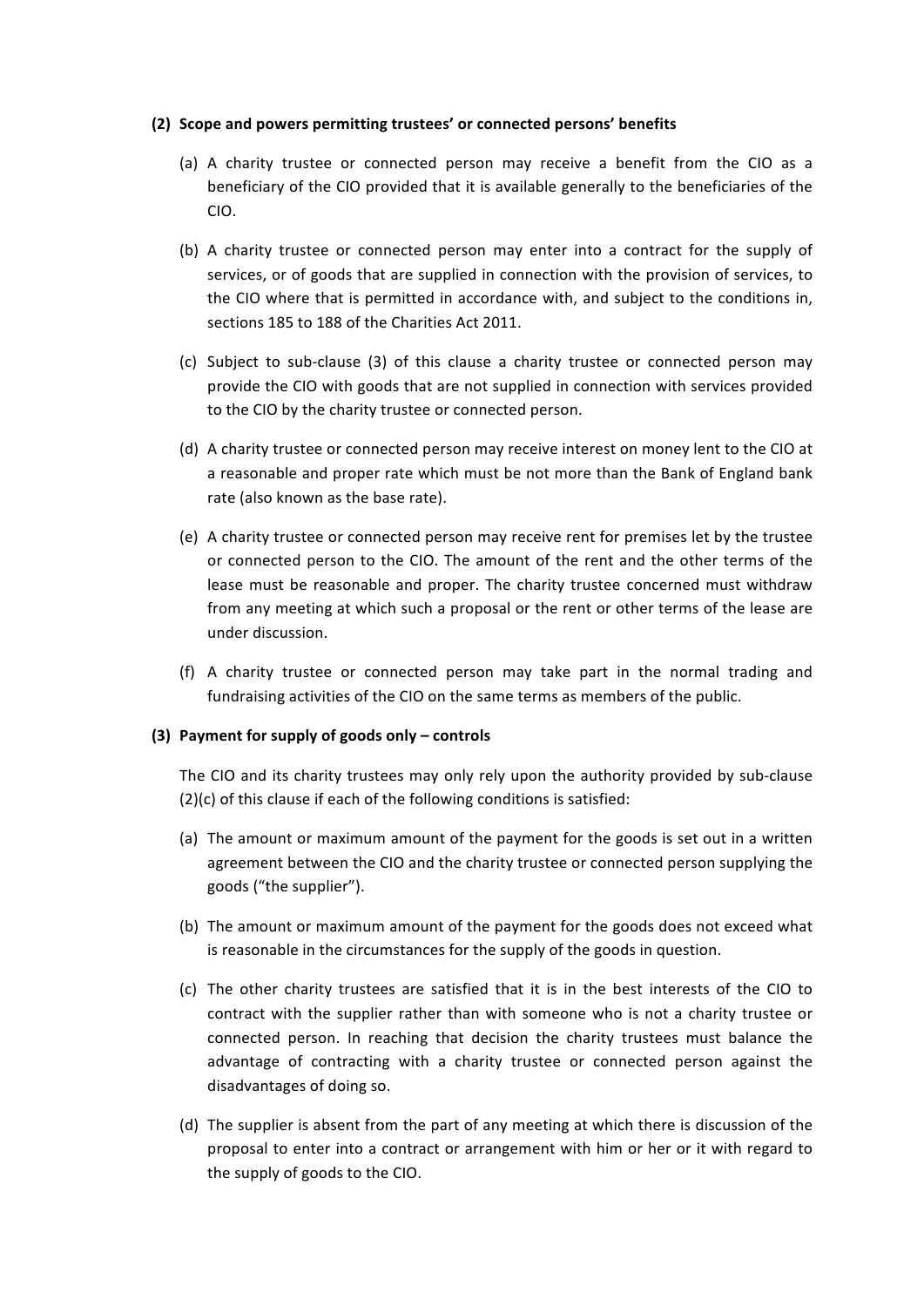#### **(2) Scope and powers permitting trustees' or connected persons' benefits**

- (a) A charity trustee or connected person may receive a benefit from the CIO as a beneficiary of the CIO provided that it is available generally to the beneficiaries of the CIO.
- (b) A charity trustee or connected person may enter into a contract for the supply of services, or of goods that are supplied in connection with the provision of services, to the CIO where that is permitted in accordance with, and subject to the conditions in, sections 185 to 188 of the Charities Act 2011.
- (c) Subject to sub-clause (3) of this clause a charity trustee or connected person may provide the CIO with goods that are not supplied in connection with services provided to the CIO by the charity trustee or connected person.
- (d) A charity trustee or connected person may receive interest on money lent to the CIO at a reasonable and proper rate which must be not more than the Bank of England bank rate (also known as the base rate).
- (e) A charity trustee or connected person may receive rent for premises let by the trustee or connected person to the CIO. The amount of the rent and the other terms of the lease must be reasonable and proper. The charity trustee concerned must withdraw from any meeting at which such a proposal or the rent or other terms of the lease are under discussion.
- (f) A charity trustee or connected person may take part in the normal trading and fundraising activities of the CIO on the same terms as members of the public.

#### **(3)** Payment for supply of goods only – controls

The CIO and its charity trustees may only rely upon the authority provided by sub-clause  $(2)(c)$  of this clause if each of the following conditions is satisfied:

- (a) The amount or maximum amount of the payment for the goods is set out in a written agreement between the CIO and the charity trustee or connected person supplying the goods ("the supplier").
- (b) The amount or maximum amount of the payment for the goods does not exceed what is reasonable in the circumstances for the supply of the goods in question.
- (c) The other charity trustees are satisfied that it is in the best interests of the CIO to contract with the supplier rather than with someone who is not a charity trustee or connected person. In reaching that decision the charity trustees must balance the advantage of contracting with a charity trustee or connected person against the disadvantages of doing so.
- (d) The supplier is absent from the part of any meeting at which there is discussion of the proposal to enter into a contract or arrangement with him or her or it with regard to the supply of goods to the CIO.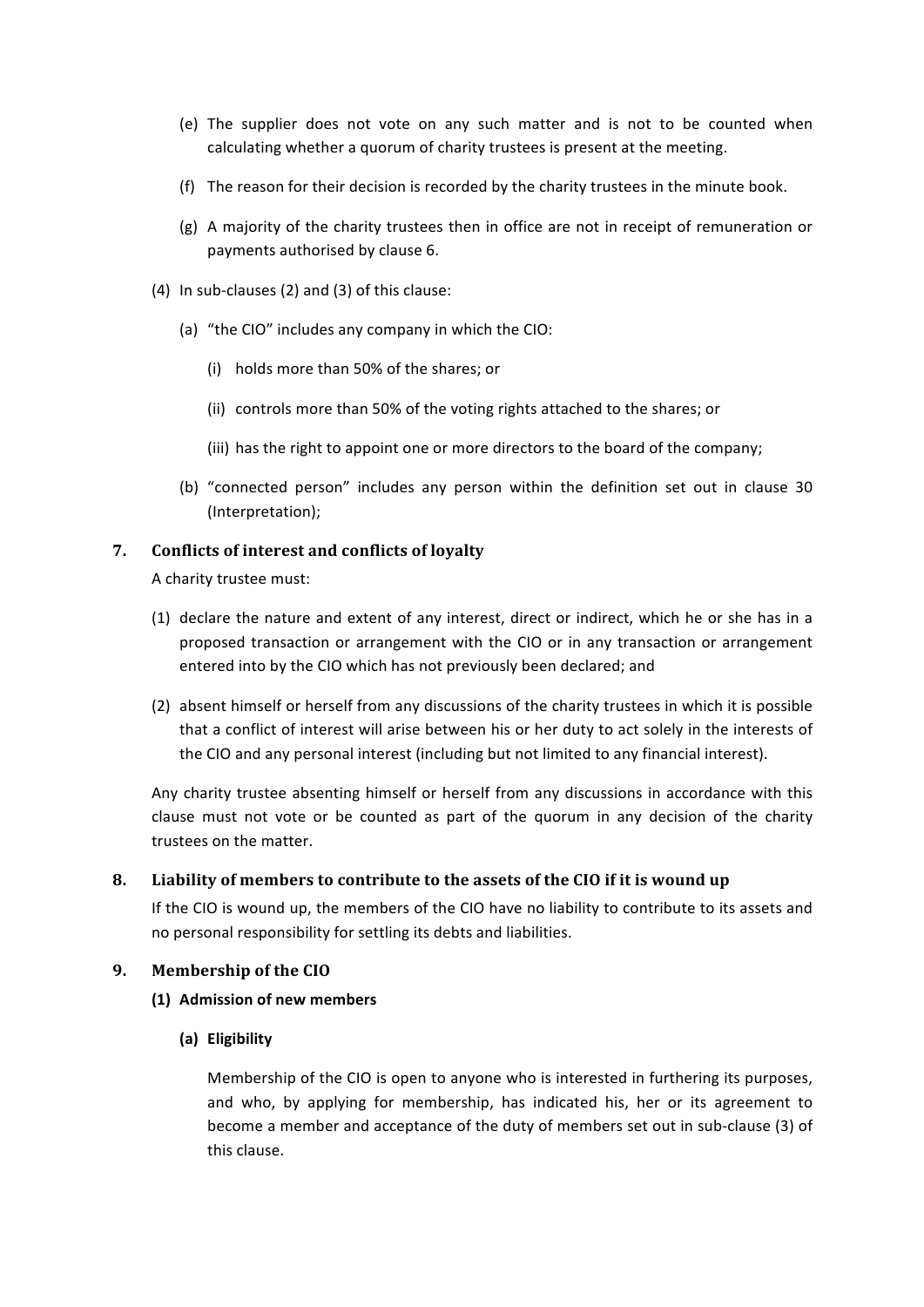- (e) The supplier does not vote on any such matter and is not to be counted when calculating whether a quorum of charity trustees is present at the meeting.
- (f) The reason for their decision is recorded by the charity trustees in the minute book.
- (g) A majority of the charity trustees then in office are not in receipt of remuneration or payments authorised by clause 6.
- $(4)$  In sub-clauses  $(2)$  and  $(3)$  of this clause:
	- (a) "the CIO" includes any company in which the CIO:
		- (i) holds more than 50% of the shares; or
		- (ii) controls more than 50% of the voting rights attached to the shares; or
		- (iii) has the right to appoint one or more directors to the board of the company;
	- (b) "connected person" includes any person within the definition set out in clause 30 (Interpretation);

# **7.** Conflicts of interest and conflicts of loyalty

A charity trustee must:

- (1) declare the nature and extent of any interest, direct or indirect, which he or she has in a proposed transaction or arrangement with the CIO or in any transaction or arrangement entered into by the CIO which has not previously been declared; and
- (2) absent himself or herself from any discussions of the charity trustees in which it is possible that a conflict of interest will arise between his or her duty to act solely in the interests of the CIO and any personal interest (including but not limited to any financial interest).

Any charity trustee absenting himself or herself from any discussions in accordance with this clause must not vote or be counted as part of the quorum in any decision of the charity trustees on the matter.

# **8.** Liability of members to contribute to the assets of the CIO if it is wound up

If the CIO is wound up, the members of the CIO have no liability to contribute to its assets and no personal responsibility for settling its debts and liabilities.

# **9.** Membership of the CIO

#### **(1) Admission of new members**

#### **(a) Eligibility**

Membership of the CIO is open to anyone who is interested in furthering its purposes, and who, by applying for membership, has indicated his, her or its agreement to become a member and acceptance of the duty of members set out in sub-clause (3) of this clause.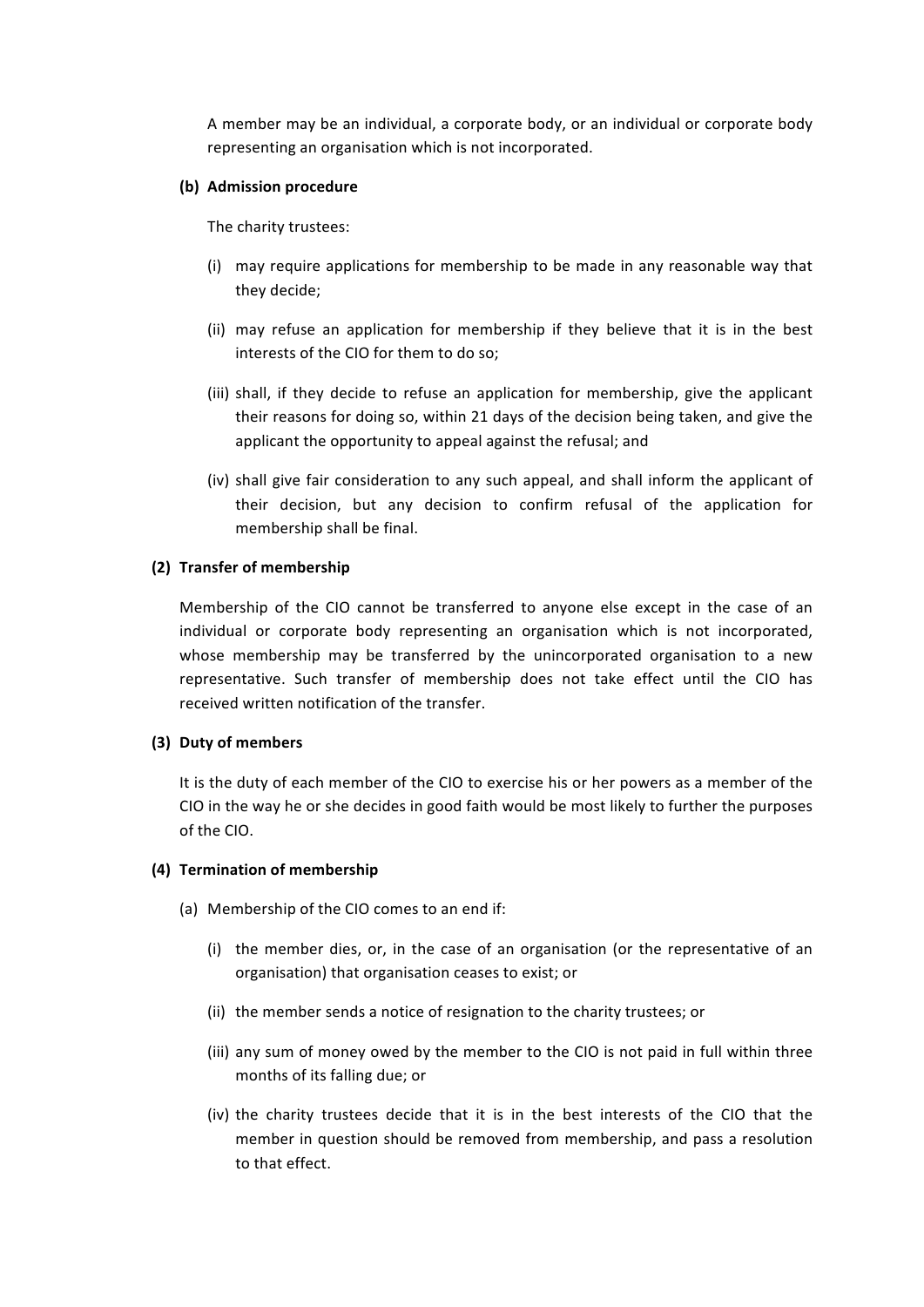A member may be an individual, a corporate body, or an individual or corporate body representing an organisation which is not incorporated.

#### **(b) Admission procedure**

The charity trustees:

- (i) may require applications for membership to be made in any reasonable way that they decide;
- (ii) may refuse an application for membership if they believe that it is in the best interests of the CIO for them to do so:
- (iii) shall, if they decide to refuse an application for membership, give the applicant their reasons for doing so, within 21 days of the decision being taken, and give the applicant the opportunity to appeal against the refusal; and
- (iv) shall give fair consideration to any such appeal, and shall inform the applicant of their decision, but any decision to confirm refusal of the application for membership shall be final.

#### **(2) Transfer of membership**

Membership of the CIO cannot be transferred to anyone else except in the case of an individual or corporate body representing an organisation which is not incorporated, whose membership may be transferred by the unincorporated organisation to a new representative. Such transfer of membership does not take effect until the CIO has received written notification of the transfer.

#### **(3) Duty of members**

It is the duty of each member of the CIO to exercise his or her powers as a member of the CIO in the way he or she decides in good faith would be most likely to further the purposes of the CIO.

#### **(4) Termination of membership**

- (a) Membership of the CIO comes to an end if:
	- (i) the member dies, or, in the case of an organisation (or the representative of an organisation) that organisation ceases to exist; or
	- (ii) the member sends a notice of resignation to the charity trustees; or
	- (iii) any sum of money owed by the member to the CIO is not paid in full within three months of its falling due; or
	- (iv) the charity trustees decide that it is in the best interests of the CIO that the member in question should be removed from membership, and pass a resolution to that effect.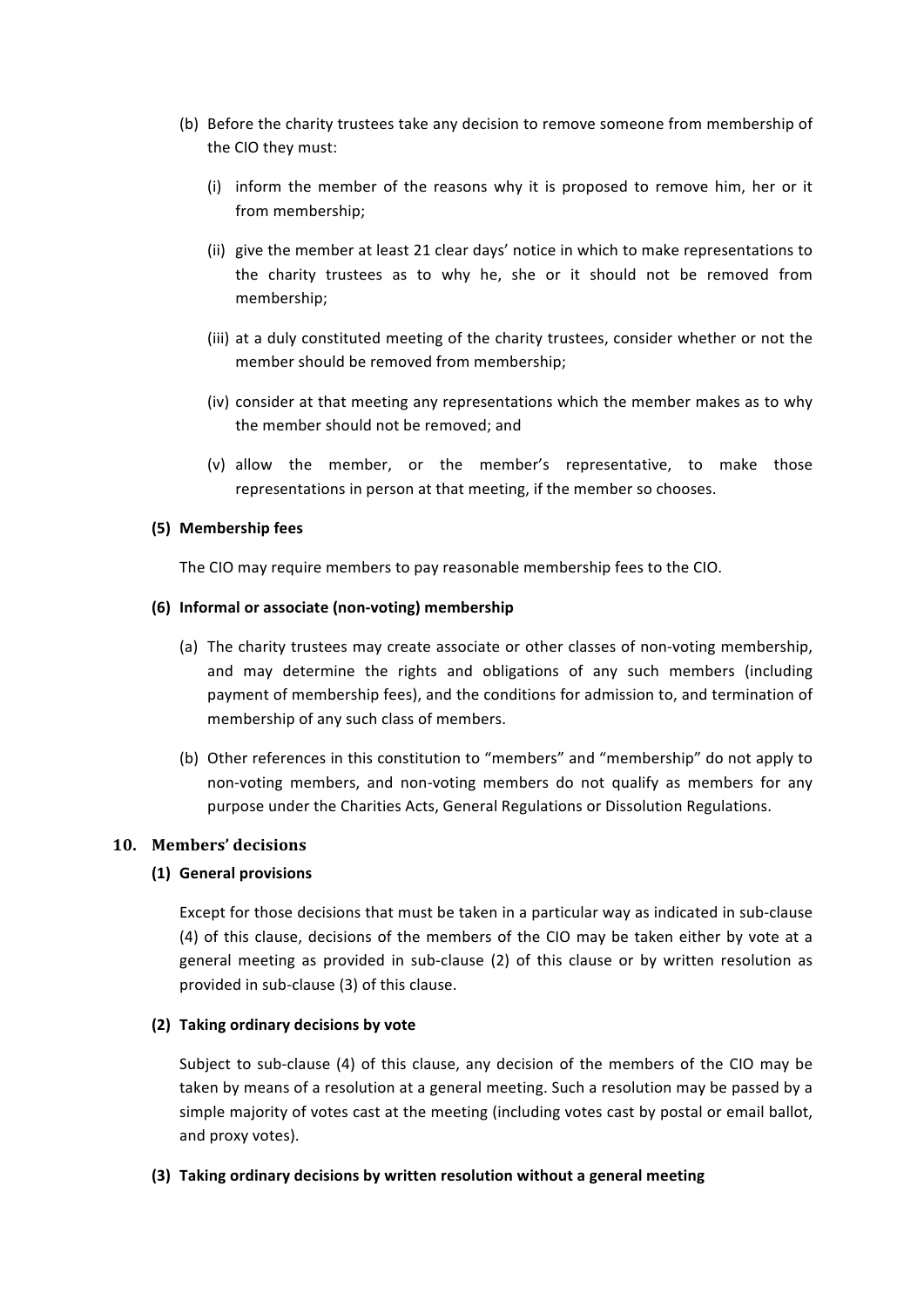- (b) Before the charity trustees take any decision to remove someone from membership of the CIO they must:
	- (i) inform the member of the reasons why it is proposed to remove him, her or it from membership;
	- (ii) give the member at least 21 clear days' notice in which to make representations to the charity trustees as to why he, she or it should not be removed from membership;
	- (iii) at a duly constituted meeting of the charity trustees, consider whether or not the member should be removed from membership;
	- (iv) consider at that meeting any representations which the member makes as to why the member should not be removed; and
	- (v) allow the member, or the member's representative, to make those representations in person at that meeting, if the member so chooses.

#### **(5) Membership fees**

The CIO may require members to pay reasonable membership fees to the CIO.

#### **(6) Informal or associate (non-voting) membership**

- (a) The charity trustees may create associate or other classes of non-voting membership, and may determine the rights and obligations of any such members (including payment of membership fees), and the conditions for admission to, and termination of membership of any such class of members.
- (b) Other references in this constitution to "members" and "membership" do not apply to non-voting members, and non-voting members do not qualify as members for any purpose under the Charities Acts, General Regulations or Dissolution Regulations.

#### **10. Members' decisions**

#### **(1) General provisions**

Except for those decisions that must be taken in a particular way as indicated in sub-clause (4) of this clause, decisions of the members of the CIO may be taken either by vote at a general meeting as provided in sub-clause (2) of this clause or by written resolution as provided in sub-clause (3) of this clause.

#### **(2) Taking ordinary decisions by vote**

Subject to sub-clause (4) of this clause, any decision of the members of the CIO may be taken by means of a resolution at a general meeting. Such a resolution may be passed by a simple majority of votes cast at the meeting (including votes cast by postal or email ballot, and proxy votes).

#### **(3) Taking ordinary decisions by written resolution without a general meeting**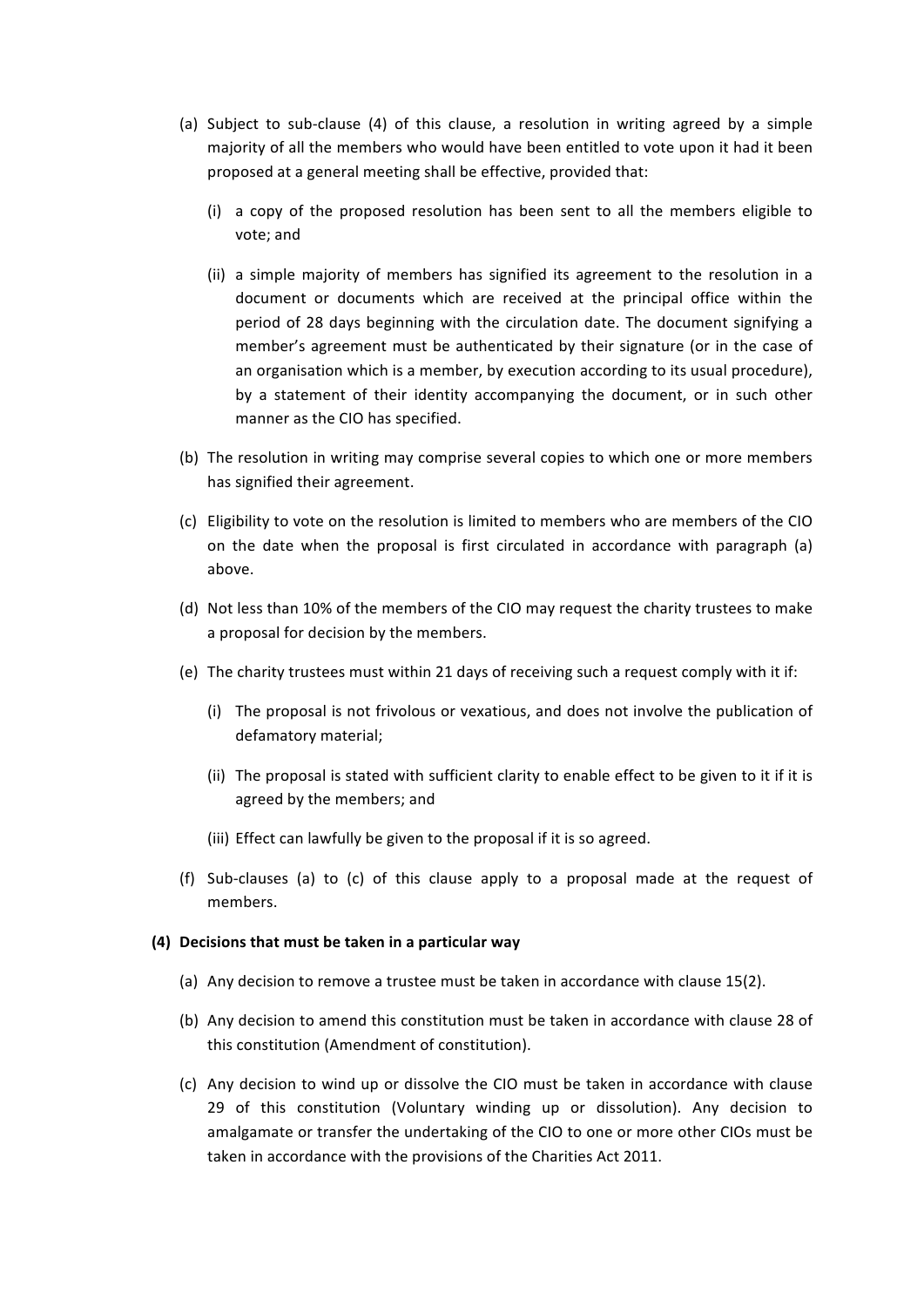- (a) Subject to sub-clause  $(4)$  of this clause, a resolution in writing agreed by a simple majority of all the members who would have been entitled to vote upon it had it been proposed at a general meeting shall be effective, provided that:
	- (i) a copy of the proposed resolution has been sent to all the members eligible to vote: and
	- (ii) a simple majority of members has signified its agreement to the resolution in a document or documents which are received at the principal office within the period of 28 days beginning with the circulation date. The document signifying a member's agreement must be authenticated by their signature (or in the case of an organisation which is a member, by execution according to its usual procedure), by a statement of their identity accompanying the document, or in such other manner as the CIO has specified.
- (b) The resolution in writing may comprise several copies to which one or more members has signified their agreement.
- (c) Eligibility to vote on the resolution is limited to members who are members of the CIO on the date when the proposal is first circulated in accordance with paragraph (a) above.
- (d) Not less than 10% of the members of the CIO may request the charity trustees to make a proposal for decision by the members.
- (e) The charity trustees must within 21 days of receiving such a request comply with it if:
	- (i) The proposal is not frivolous or vexatious, and does not involve the publication of defamatory material;
	- (ii) The proposal is stated with sufficient clarity to enable effect to be given to it if it is agreed by the members; and
	- (iii) Effect can lawfully be given to the proposal if it is so agreed.
- (f) Sub-clauses (a) to (c) of this clause apply to a proposal made at the request of members.

#### **(4) Decisions that must be taken in a particular way**

- (a) Any decision to remove a trustee must be taken in accordance with clause 15(2).
- (b) Any decision to amend this constitution must be taken in accordance with clause 28 of this constitution (Amendment of constitution).
- (c) Any decision to wind up or dissolve the CIO must be taken in accordance with clause 29 of this constitution (Voluntary winding up or dissolution). Any decision to amalgamate or transfer the undertaking of the CIO to one or more other CIOs must be taken in accordance with the provisions of the Charities Act 2011.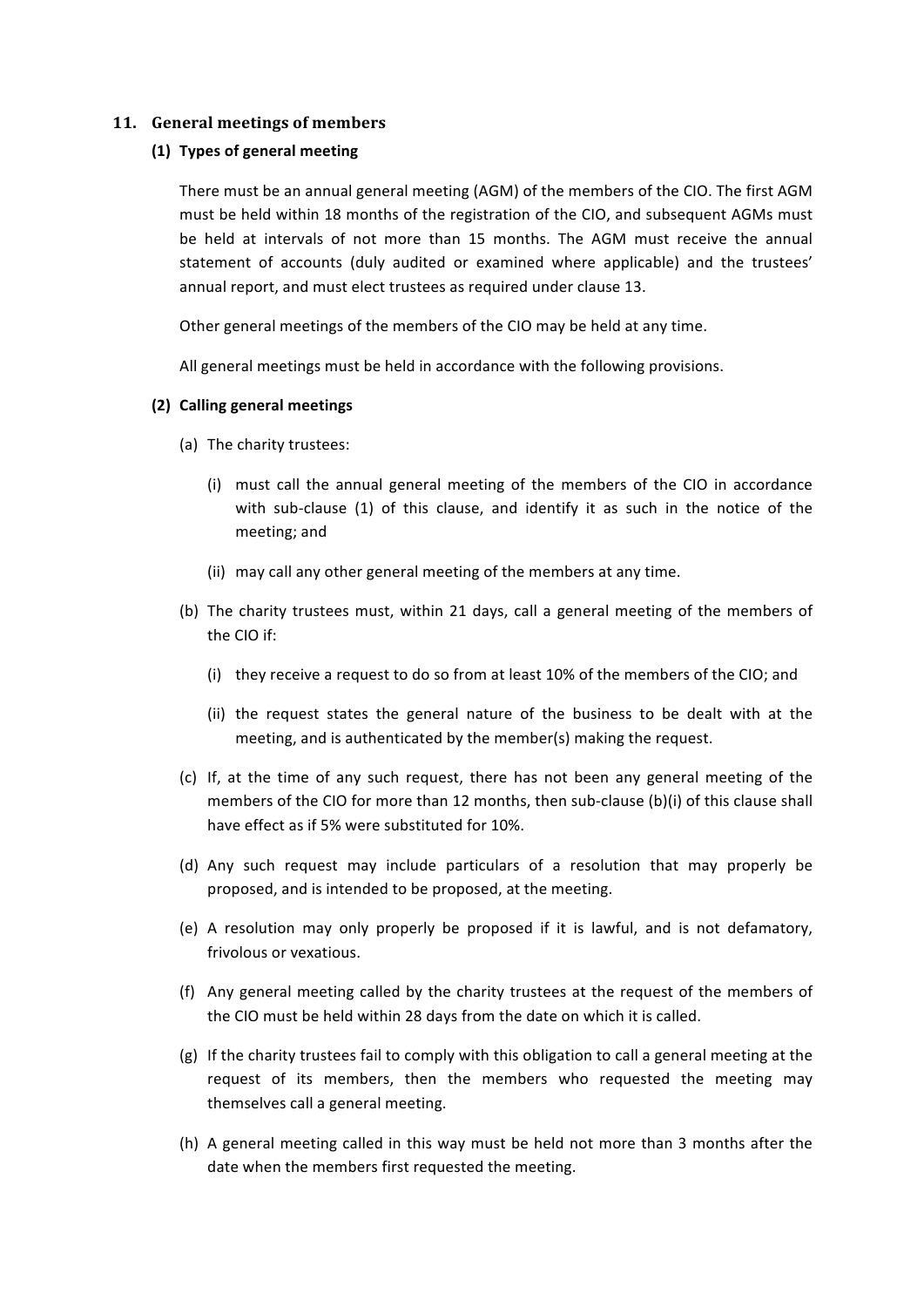#### 11. General meetings of members

# **(1) Types of general meeting**

There must be an annual general meeting (AGM) of the members of the CIO. The first AGM must be held within 18 months of the registration of the CIO, and subsequent AGMs must be held at intervals of not more than 15 months. The AGM must receive the annual statement of accounts (duly audited or examined where applicable) and the trustees' annual report, and must elect trustees as required under clause 13.

Other general meetings of the members of the CIO may be held at any time.

All general meetings must be held in accordance with the following provisions.

# **(2) Calling general meetings**

- (a) The charity trustees:
	- (i) must call the annual general meeting of the members of the CIO in accordance with sub-clause (1) of this clause, and identify it as such in the notice of the meeting; and
	- (ii) may call any other general meeting of the members at any time.
- (b) The charity trustees must, within 21 days, call a general meeting of the members of the CIO if:
	- (i) they receive a request to do so from at least 10% of the members of the CIO; and
	- (ii) the request states the general nature of the business to be dealt with at the meeting, and is authenticated by the member(s) making the request.
- (c) If, at the time of any such request, there has not been any general meeting of the members of the CIO for more than 12 months, then sub-clause (b)(i) of this clause shall have effect as if 5% were substituted for 10%.
- (d) Any such request may include particulars of a resolution that may properly be proposed, and is intended to be proposed, at the meeting.
- (e) A resolution may only properly be proposed if it is lawful, and is not defamatory. frivolous or vexatious.
- (f) Any general meeting called by the charity trustees at the request of the members of the CIO must be held within 28 days from the date on which it is called.
- $(g)$  If the charity trustees fail to comply with this obligation to call a general meeting at the request of its members, then the members who requested the meeting may themselves call a general meeting.
- (h) A general meeting called in this way must be held not more than 3 months after the date when the members first requested the meeting.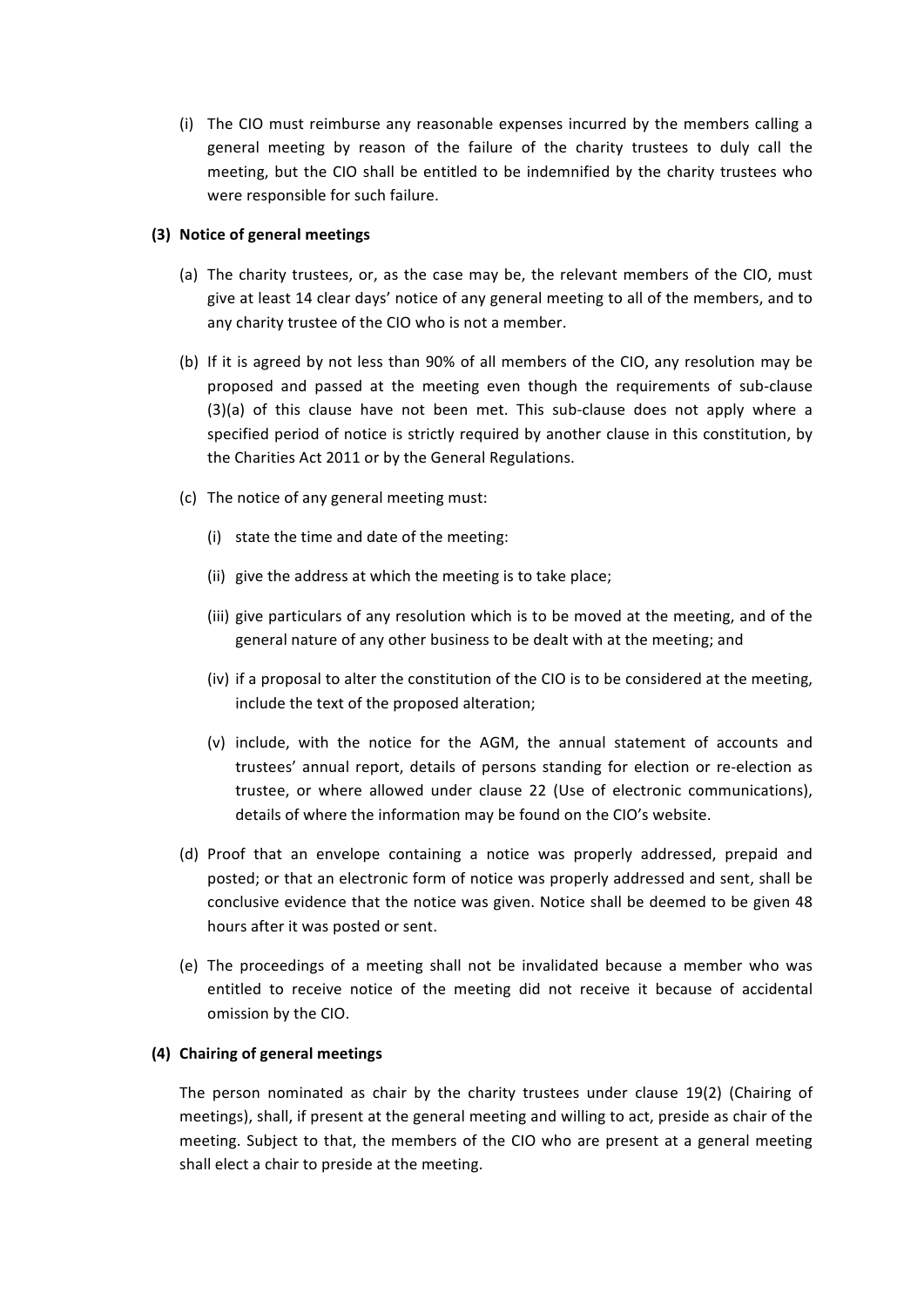(i) The CIO must reimburse any reasonable expenses incurred by the members calling a general meeting by reason of the failure of the charity trustees to duly call the meeting, but the CIO shall be entitled to be indemnified by the charity trustees who were responsible for such failure.

#### **(3) Notice of general meetings**

- (a) The charity trustees, or, as the case may be, the relevant members of the CIO, must give at least 14 clear days' notice of any general meeting to all of the members, and to any charity trustee of the CIO who is not a member.
- (b) If it is agreed by not less than 90% of all members of the CIO, any resolution may be proposed and passed at the meeting even though the requirements of sub-clause  $(3)(a)$  of this clause have not been met. This sub-clause does not apply where a specified period of notice is strictly required by another clause in this constitution, by the Charities Act 2011 or by the General Regulations.
- (c) The notice of any general meeting must:
	- (i) state the time and date of the meeting:
	- (ii) give the address at which the meeting is to take place;
	- (iii) give particulars of any resolution which is to be moved at the meeting, and of the general nature of any other business to be dealt with at the meeting; and
	- (iv) if a proposal to alter the constitution of the CIO is to be considered at the meeting, include the text of the proposed alteration;
	- (v) include, with the notice for the AGM, the annual statement of accounts and trustees' annual report, details of persons standing for election or re-election as trustee, or where allowed under clause 22 (Use of electronic communications). details of where the information may be found on the CIO's website.
- (d) Proof that an envelope containing a notice was properly addressed, prepaid and posted; or that an electronic form of notice was properly addressed and sent, shall be conclusive evidence that the notice was given. Notice shall be deemed to be given 48 hours after it was posted or sent.
- (e) The proceedings of a meeting shall not be invalidated because a member who was entitled to receive notice of the meeting did not receive it because of accidental omission by the CIO.

#### **(4) Chairing of general meetings**

The person nominated as chair by the charity trustees under clause 19(2) (Chairing of meetings), shall, if present at the general meeting and willing to act, preside as chair of the meeting. Subject to that, the members of the CIO who are present at a general meeting shall elect a chair to preside at the meeting.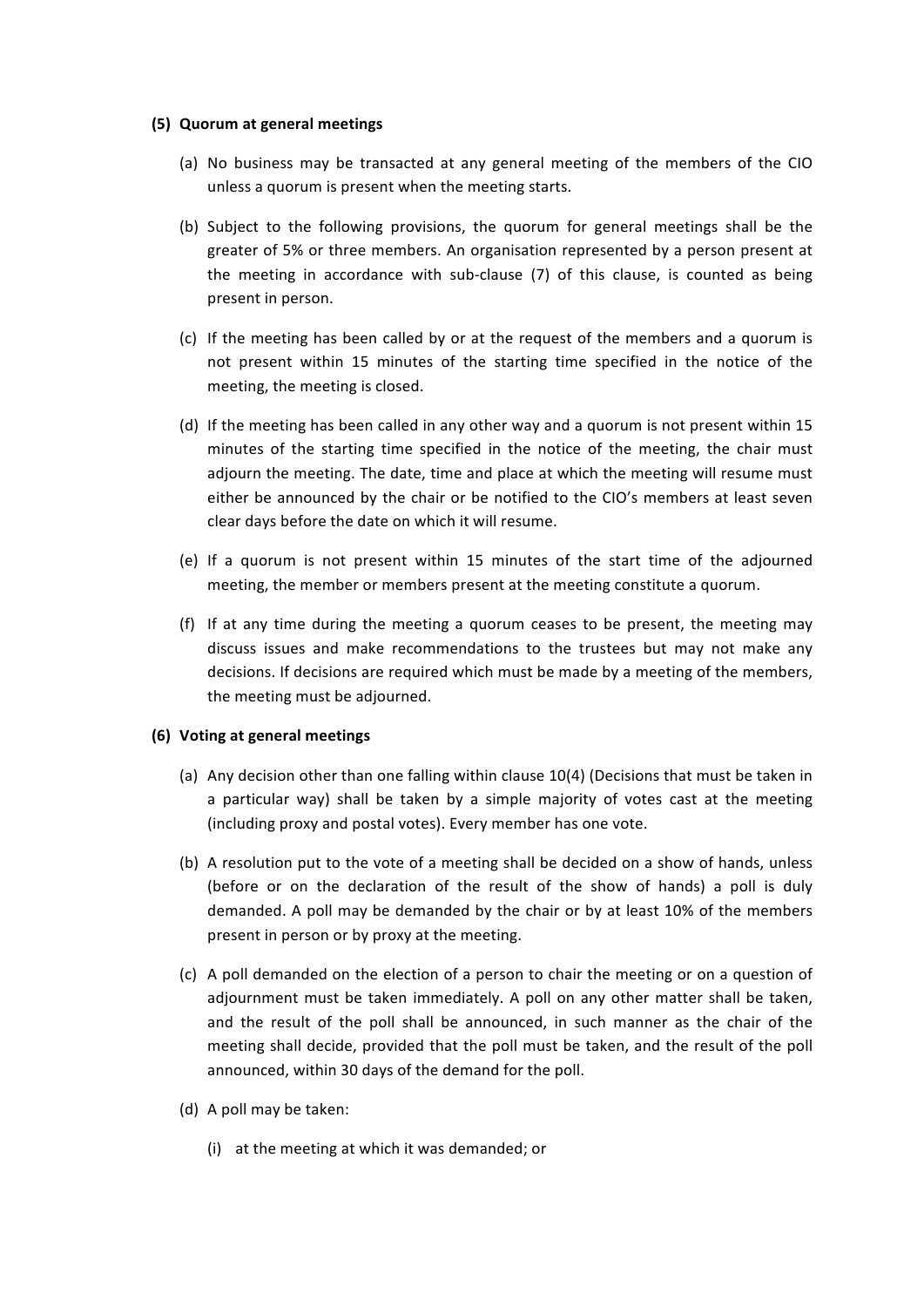#### **(5) Quorum at general meetings**

- (a) No business may be transacted at any general meeting of the members of the CIO unless a quorum is present when the meeting starts.
- (b) Subject to the following provisions, the quorum for general meetings shall be the greater of 5% or three members. An organisation represented by a person present at the meeting in accordance with sub-clause (7) of this clause, is counted as being present in person.
- (c) If the meeting has been called by or at the request of the members and a quorum is not present within 15 minutes of the starting time specified in the notice of the meeting, the meeting is closed.
- (d) If the meeting has been called in any other way and a quorum is not present within 15 minutes of the starting time specified in the notice of the meeting, the chair must adjourn the meeting. The date, time and place at which the meeting will resume must either be announced by the chair or be notified to the CIO's members at least seven clear days before the date on which it will resume.
- (e) If a quorum is not present within 15 minutes of the start time of the adjourned meeting, the member or members present at the meeting constitute a quorum.
- (f) If at any time during the meeting a quorum ceases to be present, the meeting may discuss issues and make recommendations to the trustees but may not make any decisions. If decisions are required which must be made by a meeting of the members, the meeting must be adjourned.

#### **(6) Voting at general meetings**

- (a) Any decision other than one falling within clause 10(4) (Decisions that must be taken in a particular way) shall be taken by a simple majority of votes cast at the meeting (including proxy and postal votes). Every member has one vote.
- (b) A resolution put to the vote of a meeting shall be decided on a show of hands, unless (before or on the declaration of the result of the show of hands) a poll is duly demanded. A poll may be demanded by the chair or by at least 10% of the members present in person or by proxy at the meeting.
- (c) A poll demanded on the election of a person to chair the meeting or on a question of adjournment must be taken immediately. A poll on any other matter shall be taken, and the result of the poll shall be announced, in such manner as the chair of the meeting shall decide, provided that the poll must be taken, and the result of the poll announced, within 30 days of the demand for the poll.
- (d) A poll may be taken:
	- (i) at the meeting at which it was demanded; or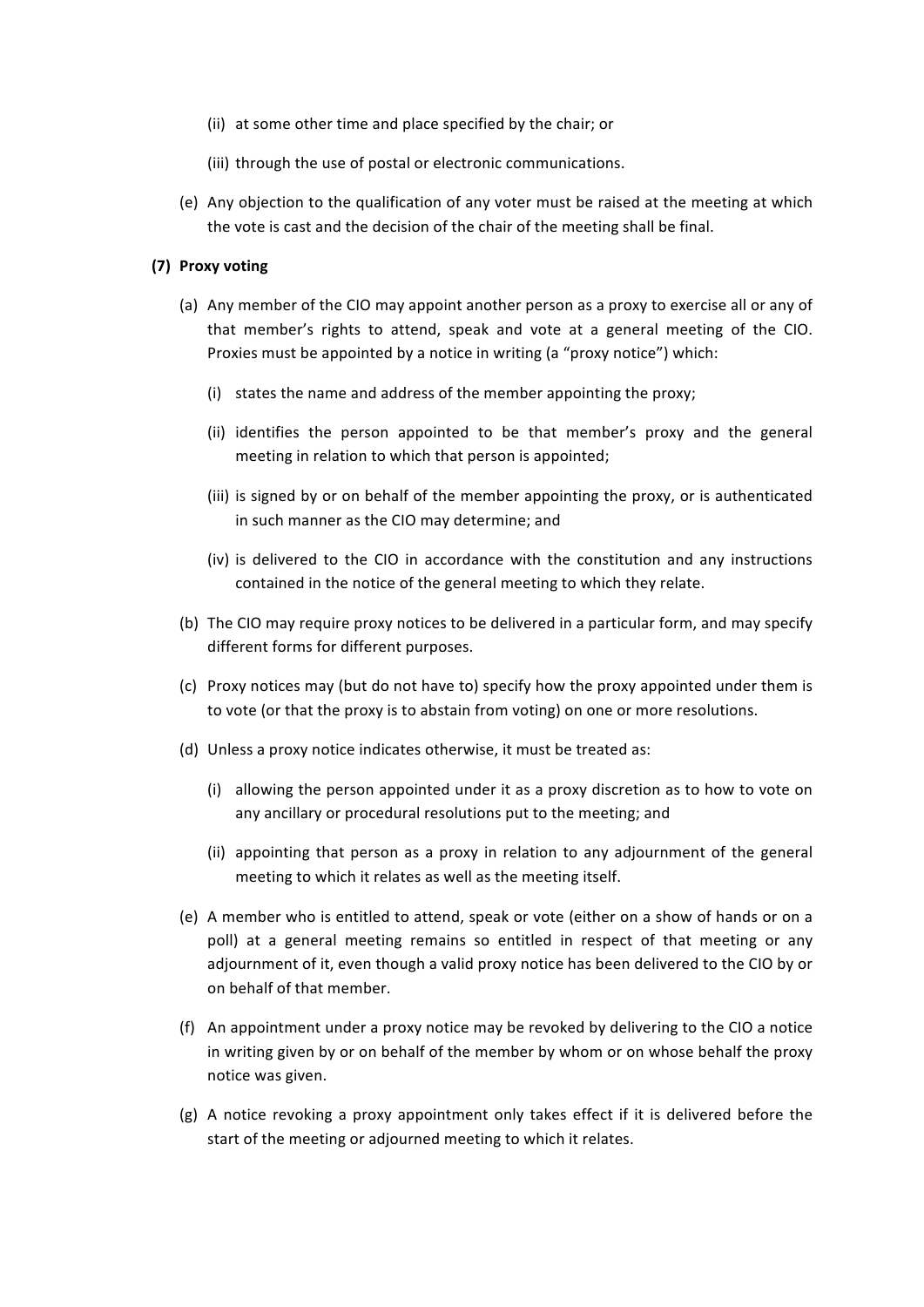- (ii) at some other time and place specified by the chair; or
- (iii) through the use of postal or electronic communications.
- (e) Any objection to the qualification of any voter must be raised at the meeting at which the vote is cast and the decision of the chair of the meeting shall be final.

#### **(7) Proxy voting**

- (a) Any member of the CIO may appoint another person as a proxy to exercise all or any of that member's rights to attend, speak and vote at a general meeting of the CIO. Proxies must be appointed by a notice in writing (a "proxy notice") which:
	- (i) states the name and address of the member appointing the proxy;
	- (ii) identifies the person appointed to be that member's proxy and the general meeting in relation to which that person is appointed;
	- (iii) is signed by or on behalf of the member appointing the proxy, or is authenticated in such manner as the CIO may determine; and
	- (iv) is delivered to the CIO in accordance with the constitution and any instructions contained in the notice of the general meeting to which they relate.
- (b) The CIO may require proxy notices to be delivered in a particular form, and may specify different forms for different purposes.
- (c) Proxy notices may (but do not have to) specify how the proxy appointed under them is to vote (or that the proxy is to abstain from voting) on one or more resolutions.
- (d) Unless a proxy notice indicates otherwise, it must be treated as:
	- (i) allowing the person appointed under it as a proxy discretion as to how to vote on any ancillary or procedural resolutions put to the meeting; and
	- (ii) appointing that person as a proxy in relation to any adjournment of the general meeting to which it relates as well as the meeting itself.
- (e) A member who is entitled to attend, speak or vote (either on a show of hands or on a poll) at a general meeting remains so entitled in respect of that meeting or any adjournment of it, even though a valid proxy notice has been delivered to the CIO by or on behalf of that member.
- (f) An appointment under a proxy notice may be revoked by delivering to the CIO a notice in writing given by or on behalf of the member by whom or on whose behalf the proxy notice was given.
- $(g)$  A notice revoking a proxy appointment only takes effect if it is delivered before the start of the meeting or adjourned meeting to which it relates.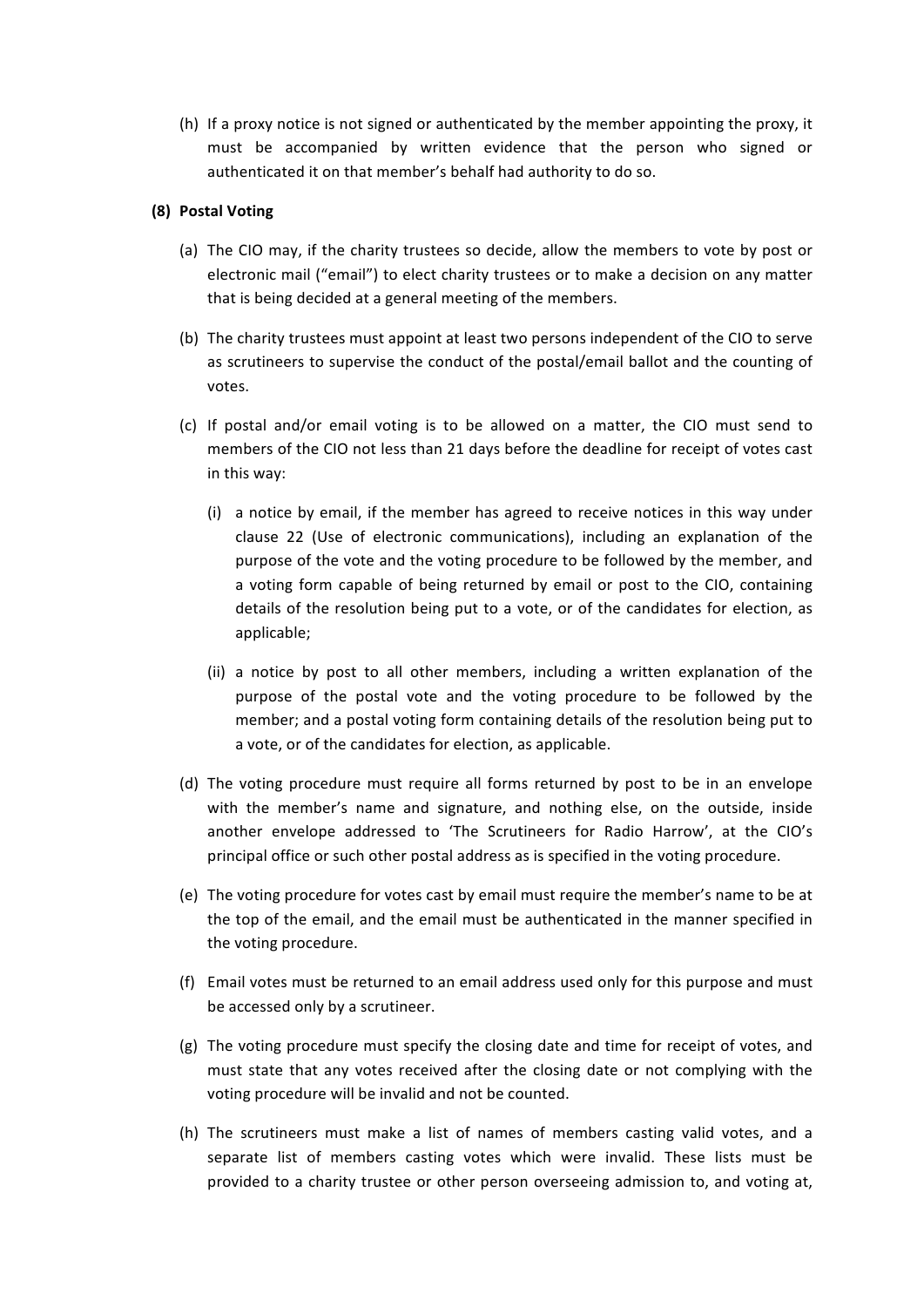(h) If a proxy notice is not signed or authenticated by the member appointing the proxy, it must be accompanied by written evidence that the person who signed or authenticated it on that member's behalf had authority to do so.

#### **(8) Postal Voting**

- (a) The CIO may, if the charity trustees so decide, allow the members to vote by post or electronic mail ("email") to elect charity trustees or to make a decision on any matter that is being decided at a general meeting of the members.
- (b) The charity trustees must appoint at least two persons independent of the CIO to serve as scrutineers to supervise the conduct of the postal/email ballot and the counting of votes.
- (c) If postal and/or email voting is to be allowed on a matter, the CIO must send to members of the CIO not less than 21 days before the deadline for receipt of votes cast in this way:
	- (i) a notice by email, if the member has agreed to receive notices in this way under clause 22 (Use of electronic communications), including an explanation of the purpose of the vote and the voting procedure to be followed by the member, and a voting form capable of being returned by email or post to the CIO, containing details of the resolution being put to a vote, or of the candidates for election, as applicable;
	- (ii) a notice by post to all other members, including a written explanation of the purpose of the postal vote and the voting procedure to be followed by the member; and a postal voting form containing details of the resolution being put to a vote, or of the candidates for election, as applicable.
- (d) The voting procedure must require all forms returned by post to be in an envelope with the member's name and signature, and nothing else, on the outside, inside another envelope addressed to 'The Scrutineers for Radio Harrow', at the CIO's principal office or such other postal address as is specified in the voting procedure.
- (e) The voting procedure for votes cast by email must require the member's name to be at the top of the email, and the email must be authenticated in the manner specified in the voting procedure.
- (f) Email votes must be returned to an email address used only for this purpose and must be accessed only by a scrutineer.
- (g) The voting procedure must specify the closing date and time for receipt of votes, and must state that any votes received after the closing date or not complying with the voting procedure will be invalid and not be counted.
- (h) The scrutineers must make a list of names of members casting valid votes, and a separate list of members casting votes which were invalid. These lists must be provided to a charity trustee or other person overseeing admission to, and voting at,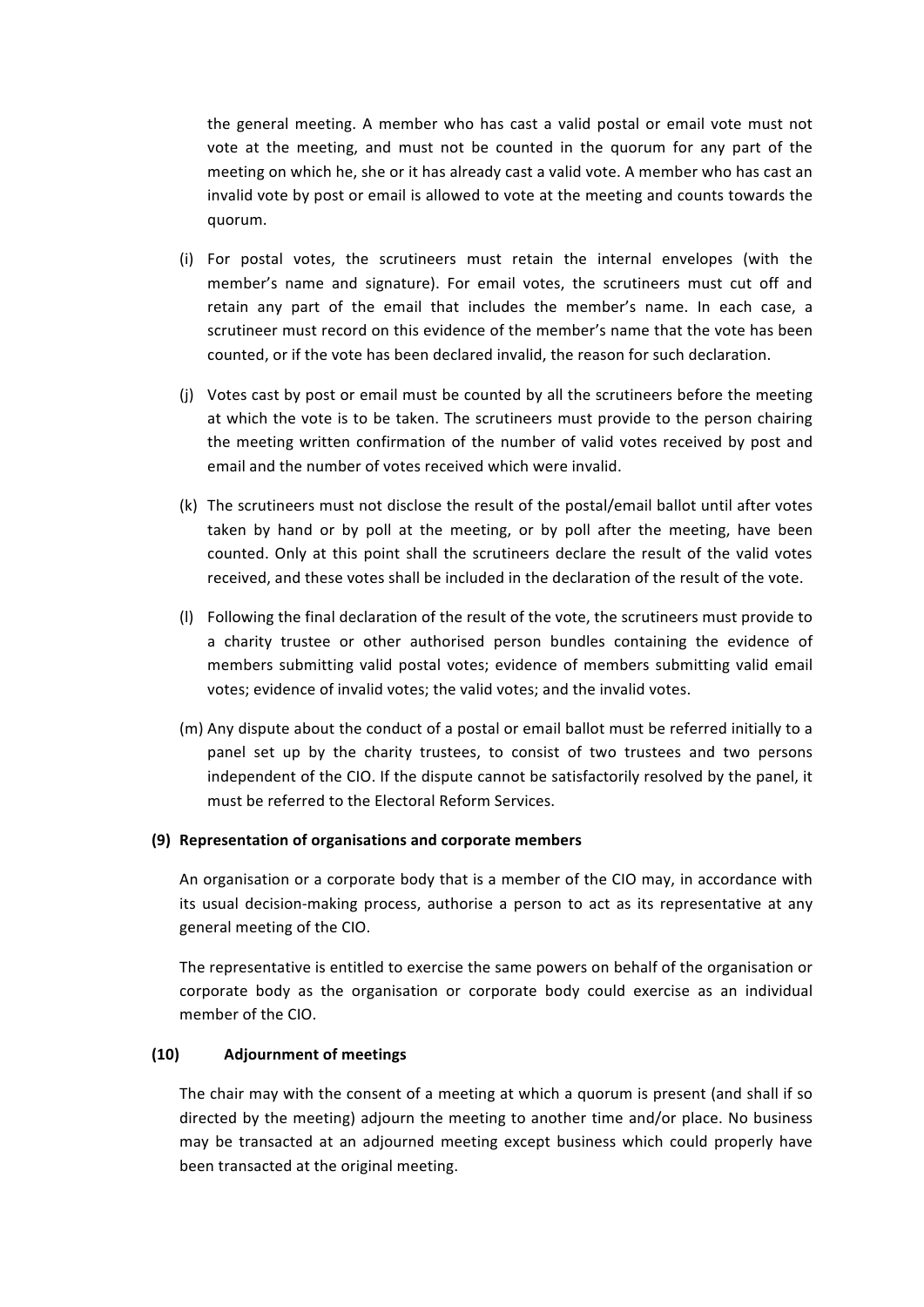the general meeting. A member who has cast a valid postal or email vote must not vote at the meeting, and must not be counted in the quorum for any part of the meeting on which he, she or it has already cast a valid vote. A member who has cast an invalid vote by post or email is allowed to vote at the meeting and counts towards the quorum.

- (i) For postal votes, the scrutineers must retain the internal envelopes (with the member's name and signature). For email votes, the scrutineers must cut off and retain any part of the email that includes the member's name. In each case, a scrutineer must record on this evidence of the member's name that the vote has been counted, or if the vote has been declared invalid, the reason for such declaration.
- (j) Votes cast by post or email must be counted by all the scrutineers before the meeting at which the vote is to be taken. The scrutineers must provide to the person chairing the meeting written confirmation of the number of valid votes received by post and email and the number of votes received which were invalid.
- (k) The scrutineers must not disclose the result of the postal/email ballot until after votes taken by hand or by poll at the meeting, or by poll after the meeting, have been counted. Only at this point shall the scrutineers declare the result of the valid votes received, and these votes shall be included in the declaration of the result of the vote.
- (I) Following the final declaration of the result of the vote, the scrutineers must provide to a charity trustee or other authorised person bundles containing the evidence of members submitting valid postal votes; evidence of members submitting valid email votes; evidence of invalid votes; the valid votes; and the invalid votes.
- (m) Any dispute about the conduct of a postal or email ballot must be referred initially to a panel set up by the charity trustees, to consist of two trustees and two persons independent of the CIO. If the dispute cannot be satisfactorily resolved by the panel, it must be referred to the Electoral Reform Services.

#### **(9) Representation of organisations and corporate members**

An organisation or a corporate body that is a member of the CIO may, in accordance with its usual decision-making process, authorise a person to act as its representative at any general meeting of the CIO.

The representative is entitled to exercise the same powers on behalf of the organisation or corporate body as the organisation or corporate body could exercise as an individual member of the CIO.

#### **(10) Adjournment of meetings**

The chair may with the consent of a meeting at which a quorum is present (and shall if so directed by the meeting) adjourn the meeting to another time and/or place. No business may be transacted at an adjourned meeting except business which could properly have been transacted at the original meeting.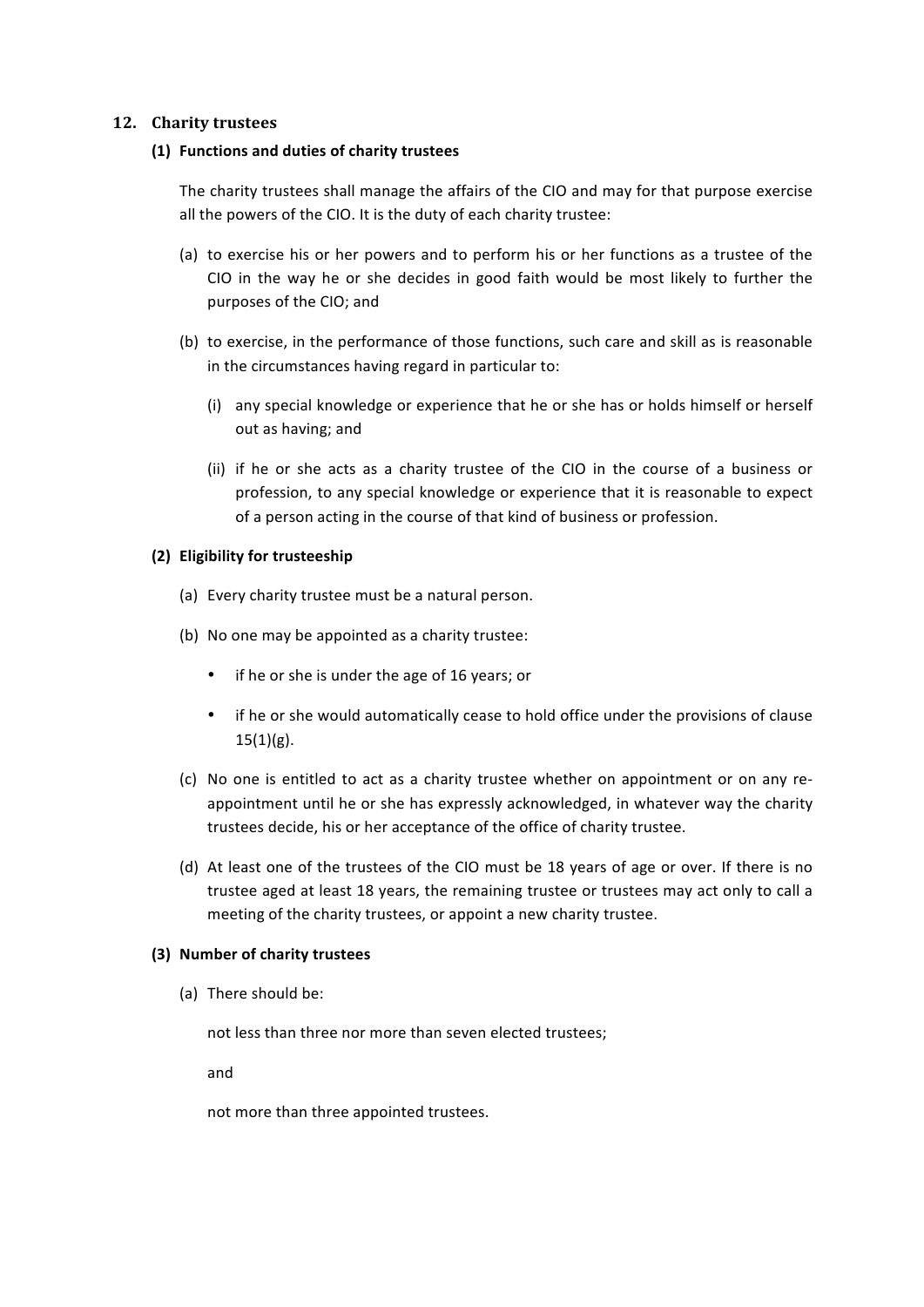#### **12. Charity trustees**

#### **(1) Functions and duties of charity trustees**

The charity trustees shall manage the affairs of the CIO and may for that purpose exercise all the powers of the CIO. It is the duty of each charity trustee:

- (a) to exercise his or her powers and to perform his or her functions as a trustee of the CIO in the way he or she decides in good faith would be most likely to further the purposes of the CIO; and
- (b) to exercise, in the performance of those functions, such care and skill as is reasonable in the circumstances having regard in particular to:
	- (i) any special knowledge or experience that he or she has or holds himself or herself out as having; and
	- (ii) if he or she acts as a charity trustee of the CIO in the course of a business or profession, to any special knowledge or experience that it is reasonable to expect of a person acting in the course of that kind of business or profession.

#### **(2) Eligibility for trusteeship**

- (a) Every charity trustee must be a natural person.
- (b) No one may be appointed as a charity trustee:
	- if he or she is under the age of 16 years; or
	- if he or she would automatically cease to hold office under the provisions of clause 15(1)(g).
- (c) No one is entitled to act as a charity trustee whether on appointment or on any reappointment until he or she has expressly acknowledged, in whatever way the charity trustees decide, his or her acceptance of the office of charity trustee.
- (d) At least one of the trustees of the CIO must be 18 years of age or over. If there is no trustee aged at least 18 years, the remaining trustee or trustees may act only to call a meeting of the charity trustees, or appoint a new charity trustee.

#### **(3) Number of charity trustees**

(a) There should be:

not less than three nor more than seven elected trustees:

and

not more than three appointed trustees.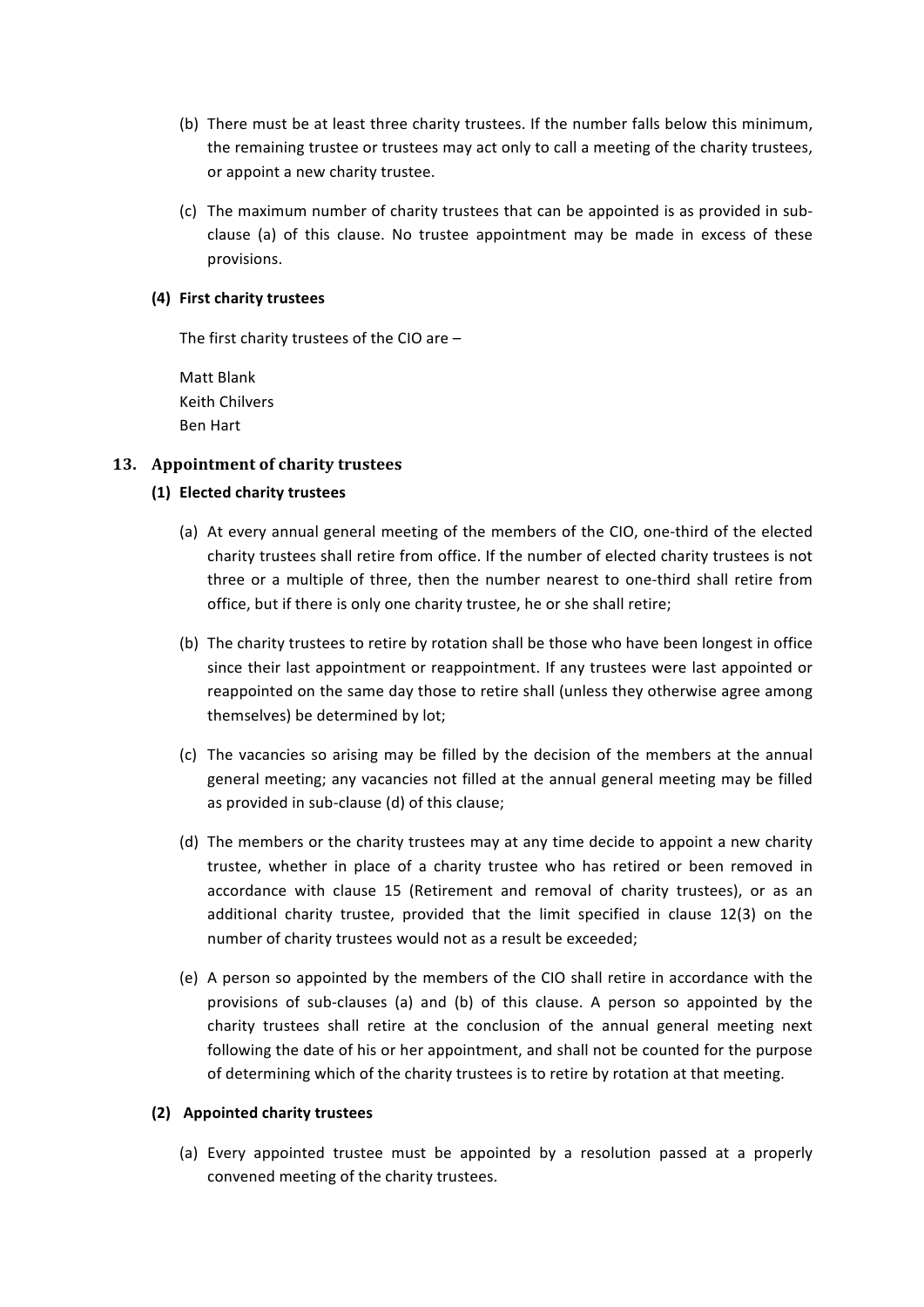- (b) There must be at least three charity trustees. If the number falls below this minimum, the remaining trustee or trustees may act only to call a meeting of the charity trustees, or appoint a new charity trustee.
- (c) The maximum number of charity trustees that can be appointed is as provided in subclause (a) of this clause. No trustee appointment may be made in excess of these provisions.

#### **(4) First charity trustees**

The first charity trustees of the CIO are  $-$ 

**Matt Blank** Keith Chilvers Ben Hart

# 13. **Appointment of charity trustees**

# **(1) Elected charity trustees**

- (a) At every annual general meeting of the members of the CIO, one-third of the elected charity trustees shall retire from office. If the number of elected charity trustees is not three or a multiple of three, then the number nearest to one-third shall retire from office, but if there is only one charity trustee, he or she shall retire;
- (b) The charity trustees to retire by rotation shall be those who have been longest in office since their last appointment or reappointment. If any trustees were last appointed or reappointed on the same day those to retire shall (unless they otherwise agree among themselves) be determined by lot;
- (c) The vacancies so arising may be filled by the decision of the members at the annual general meeting; any vacancies not filled at the annual general meeting may be filled as provided in sub-clause (d) of this clause;
- (d) The members or the charity trustees may at any time decide to appoint a new charity trustee, whether in place of a charity trustee who has retired or been removed in accordance with clause 15 (Retirement and removal of charity trustees), or as an additional charity trustee, provided that the limit specified in clause 12(3) on the number of charity trustees would not as a result be exceeded;
- (e) A person so appointed by the members of the CIO shall retire in accordance with the provisions of sub-clauses (a) and (b) of this clause. A person so appointed by the charity trustees shall retire at the conclusion of the annual general meeting next following the date of his or her appointment, and shall not be counted for the purpose of determining which of the charity trustees is to retire by rotation at that meeting.

#### **(2) Appointed charity trustees**

(a) Every appointed trustee must be appointed by a resolution passed at a properly convened meeting of the charity trustees.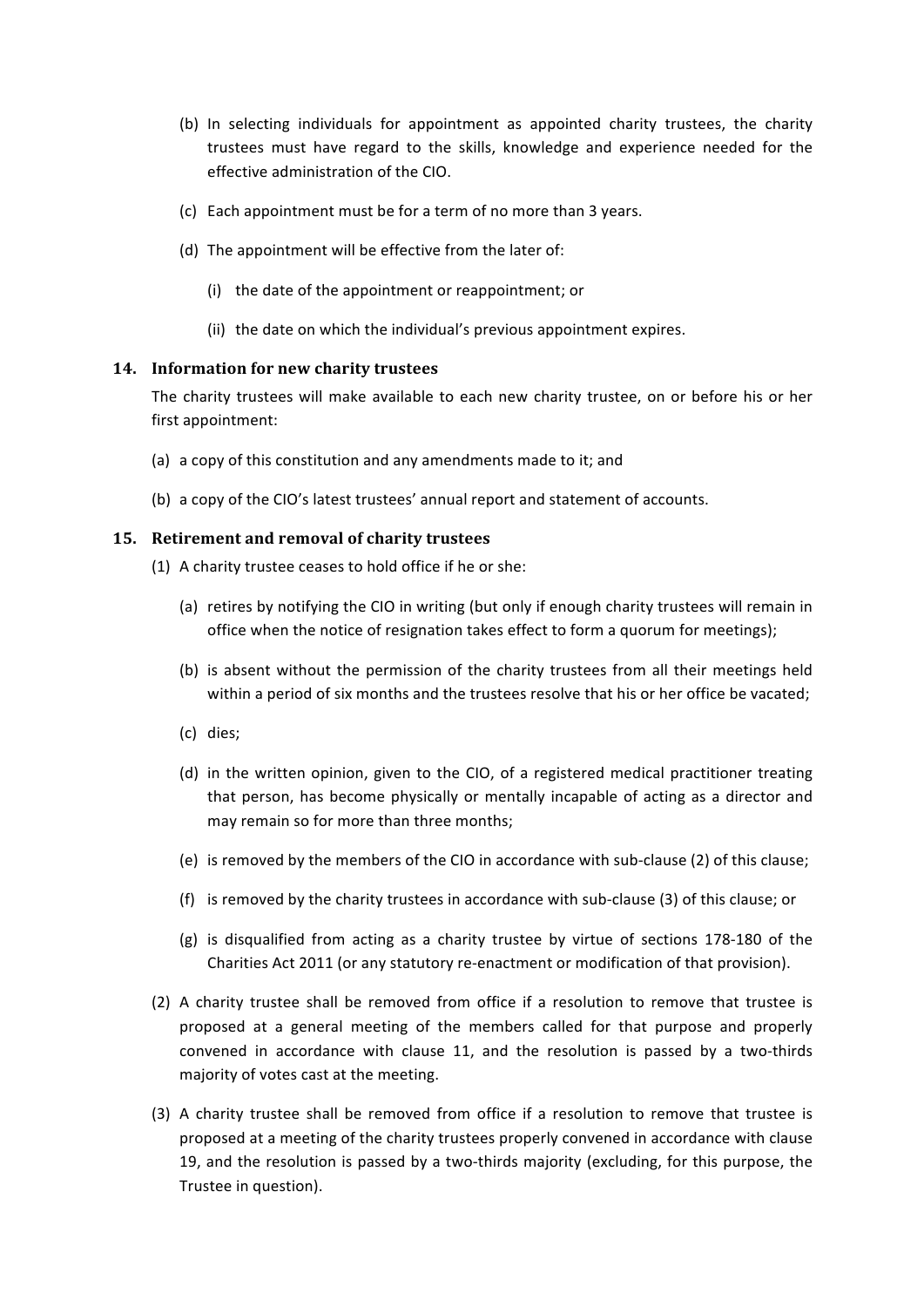- (b) In selecting individuals for appointment as appointed charity trustees, the charity trustees must have regard to the skills, knowledge and experience needed for the effective administration of the CIO.
- (c) Each appointment must be for a term of no more than 3 years.
- (d) The appointment will be effective from the later of:
	- (i) the date of the appointment or reappointment; or
	- (ii) the date on which the individual's previous appointment expires.

# **14.** Information for new charity trustees

The charity trustees will make available to each new charity trustee, on or before his or her first appointment:

- (a) a copy of this constitution and any amendments made to it; and
- (b) a copy of the CIO's latest trustees' annual report and statement of accounts.

# **15.** Retirement and removal of charity trustees

- (1) A charity trustee ceases to hold office if he or she:
	- (a) retires by notifying the CIO in writing (but only if enough charity trustees will remain in office when the notice of resignation takes effect to form a quorum for meetings);
	- (b) is absent without the permission of the charity trustees from all their meetings held within a period of six months and the trustees resolve that his or her office be vacated;
	- (c) dies;
	- (d) in the written opinion, given to the CIO, of a registered medical practitioner treating that person, has become physically or mentally incapable of acting as a director and may remain so for more than three months;
	- (e) is removed by the members of the CIO in accordance with sub-clause (2) of this clause;
	- (f) is removed by the charity trustees in accordance with sub-clause  $(3)$  of this clause; or
	- $(g)$  is disqualified from acting as a charity trustee by virtue of sections 178-180 of the Charities Act 2011 (or any statutory re-enactment or modification of that provision).
- (2) A charity trustee shall be removed from office if a resolution to remove that trustee is proposed at a general meeting of the members called for that purpose and properly convened in accordance with clause 11, and the resolution is passed by a two-thirds majority of votes cast at the meeting.
- (3) A charity trustee shall be removed from office if a resolution to remove that trustee is proposed at a meeting of the charity trustees properly convened in accordance with clause 19, and the resolution is passed by a two-thirds majority (excluding, for this purpose, the Trustee in question).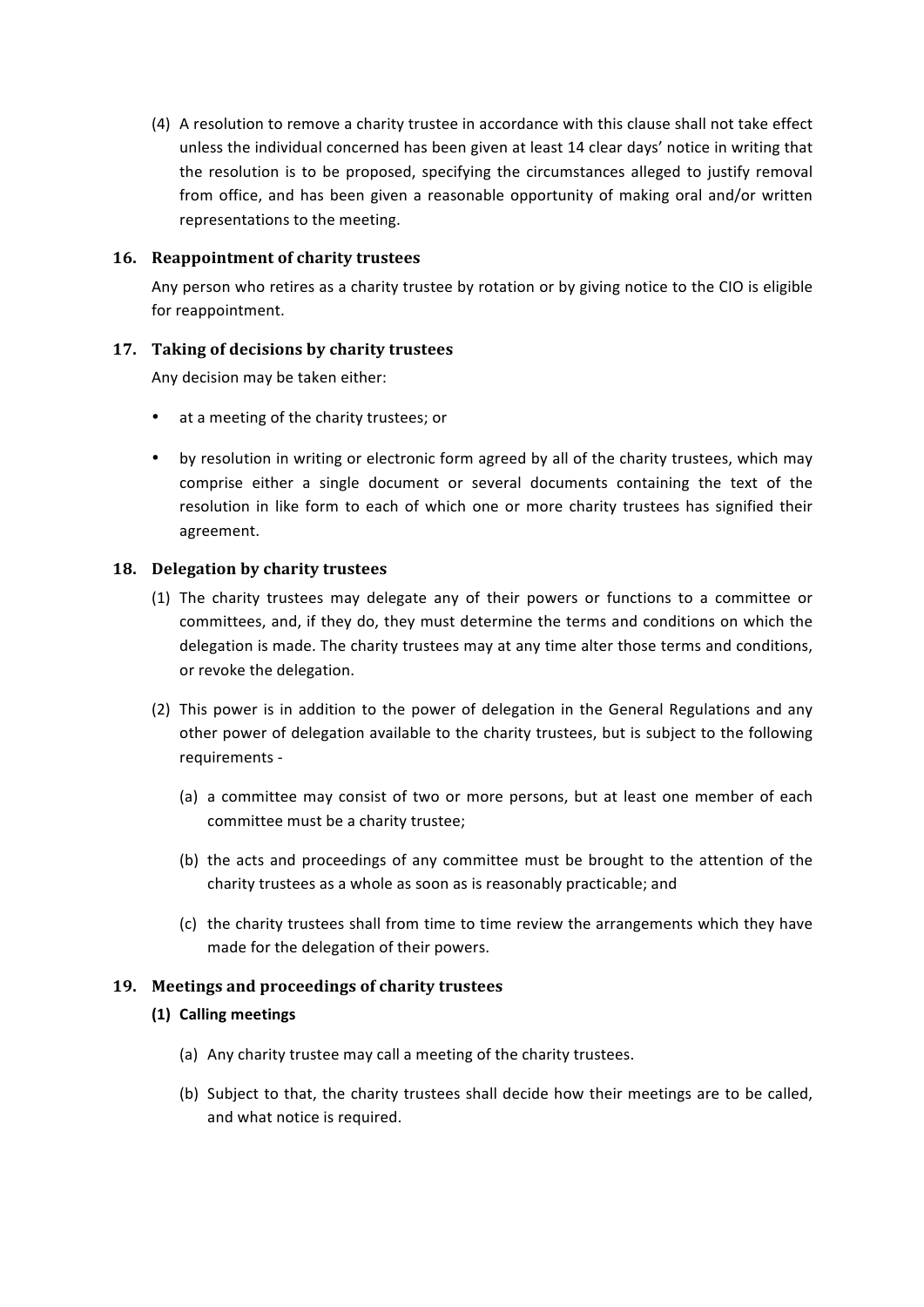(4) A resolution to remove a charity trustee in accordance with this clause shall not take effect unless the individual concerned has been given at least 14 clear days' notice in writing that the resolution is to be proposed, specifying the circumstances alleged to justify removal from office, and has been given a reasonable opportunity of making oral and/or written representations to the meeting.

# 16. Reappointment of charity trustees

Any person who retires as a charity trustee by rotation or by giving notice to the CIO is eligible for reappointment.

# **17. Taking of decisions by charity trustees**

Any decision may be taken either:

- at a meeting of the charity trustees; or
- by resolution in writing or electronic form agreed by all of the charity trustees, which may comprise either a single document or several documents containing the text of the resolution in like form to each of which one or more charity trustees has signified their agreement.

# **18. Delegation by charity trustees**

- (1) The charity trustees may delegate any of their powers or functions to a committee or committees, and, if they do, they must determine the terms and conditions on which the delegation is made. The charity trustees may at any time alter those terms and conditions, or revoke the delegation.
- (2) This power is in addition to the power of delegation in the General Regulations and any other power of delegation available to the charity trustees, but is subject to the following requirements -
	- (a) a committee may consist of two or more persons, but at least one member of each committee must be a charity trustee;
	- (b) the acts and proceedings of any committee must be brought to the attention of the charity trustees as a whole as soon as is reasonably practicable; and
	- (c) the charity trustees shall from time to time review the arrangements which they have made for the delegation of their powers.

#### 19. Meetings and proceedings of charity trustees

#### **(1) Calling meetings**

- (a) Any charity trustee may call a meeting of the charity trustees.
- (b) Subject to that, the charity trustees shall decide how their meetings are to be called, and what notice is required.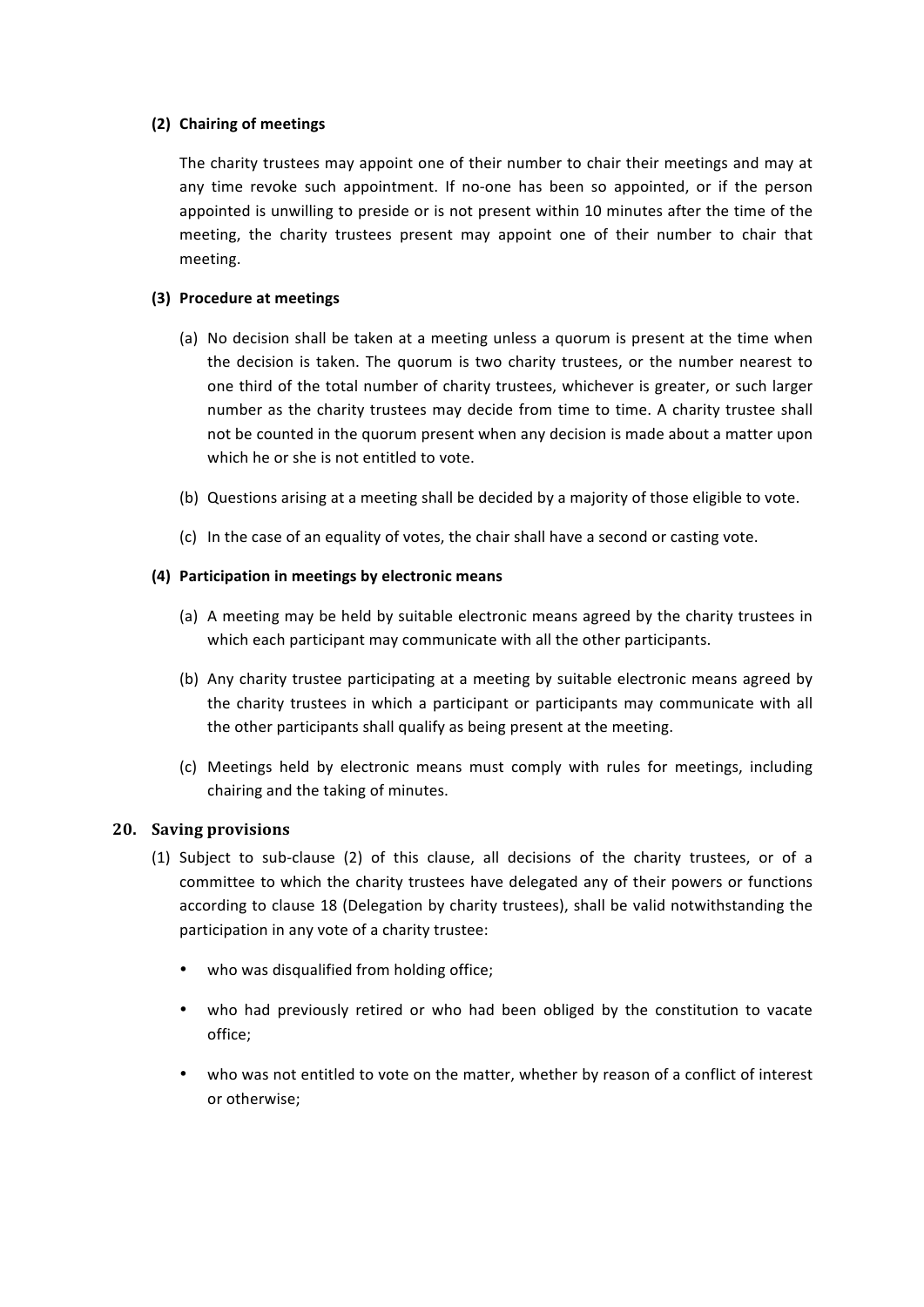#### **(2) Chairing of meetings**

The charity trustees may appoint one of their number to chair their meetings and may at any time revoke such appointment. If no-one has been so appointed, or if the person appointed is unwilling to preside or is not present within 10 minutes after the time of the meeting, the charity trustees present may appoint one of their number to chair that meeting.

# **(3) Procedure at meetings**

- (a) No decision shall be taken at a meeting unless a quorum is present at the time when the decision is taken. The quorum is two charity trustees, or the number nearest to one third of the total number of charity trustees, whichever is greater, or such larger number as the charity trustees may decide from time to time. A charity trustee shall not be counted in the quorum present when any decision is made about a matter upon which he or she is not entitled to vote.
- (b) Questions arising at a meeting shall be decided by a majority of those eligible to vote.
- (c) In the case of an equality of votes, the chair shall have a second or casting vote.

# **(4) Participation in meetings by electronic means**

- (a) A meeting may be held by suitable electronic means agreed by the charity trustees in which each participant may communicate with all the other participants.
- (b) Any charity trustee participating at a meeting by suitable electronic means agreed by the charity trustees in which a participant or participants may communicate with all the other participants shall qualify as being present at the meeting.
- (c) Meetings held by electronic means must comply with rules for meetings, including chairing and the taking of minutes.

#### **20.** Saving provisions

- (1) Subject to sub-clause  $(2)$  of this clause, all decisions of the charity trustees, or of a committee to which the charity trustees have delegated any of their powers or functions according to clause 18 (Delegation by charity trustees), shall be valid notwithstanding the participation in any vote of a charity trustee:
	- who was disqualified from holding office;
	- who had previously retired or who had been obliged by the constitution to vacate office;
	- who was not entitled to vote on the matter, whether by reason of a conflict of interest or otherwise: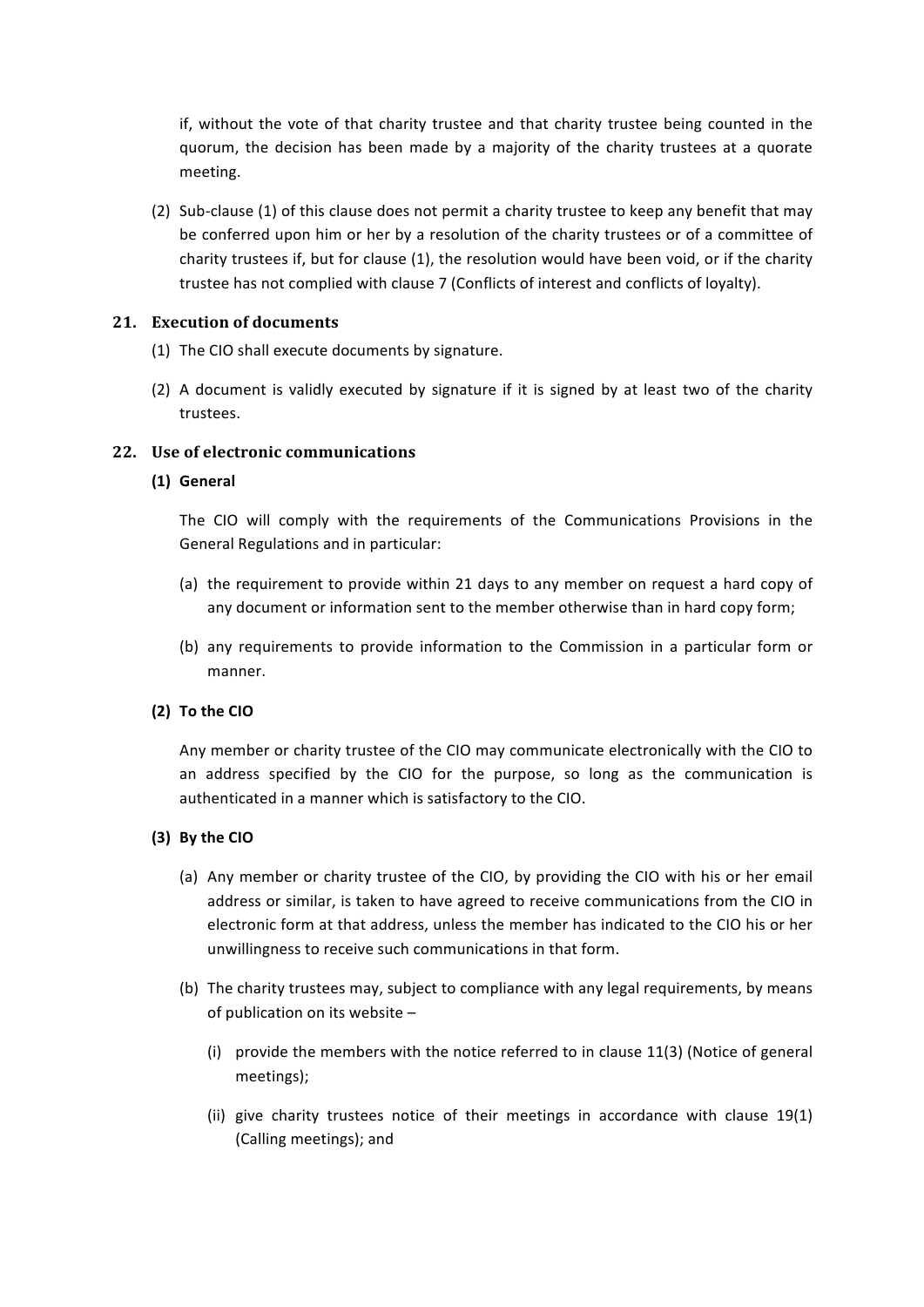if, without the vote of that charity trustee and that charity trustee being counted in the quorum, the decision has been made by a majority of the charity trustees at a quorate meeting.

(2) Sub-clause (1) of this clause does not permit a charity trustee to keep any benefit that may be conferred upon him or her by a resolution of the charity trustees or of a committee of charity trustees if, but for clause  $(1)$ , the resolution would have been void, or if the charity trustee has not complied with clause 7 (Conflicts of interest and conflicts of loyalty).

# **21. Execution of documents**

- (1) The CIO shall execute documents by signature.
- $(2)$  A document is validly executed by signature if it is signed by at least two of the charity trustees.

# **22. Use of electronic communications**

#### **(1) General**

The CIO will comply with the requirements of the Communications Provisions in the General Regulations and in particular:

- (a) the requirement to provide within 21 days to any member on request a hard copy of any document or information sent to the member otherwise than in hard copy form;
- (b) any requirements to provide information to the Commission in a particular form or manner.

# **(2) To the CIO**

Any member or charity trustee of the CIO may communicate electronically with the CIO to an address specified by the CIO for the purpose, so long as the communication is authenticated in a manner which is satisfactory to the CIO.

#### **(3) By the CIO**

- (a) Any member or charity trustee of the CIO, by providing the CIO with his or her email address or similar, is taken to have agreed to receive communications from the CIO in electronic form at that address, unless the member has indicated to the CIO his or her unwillingness to receive such communications in that form.
- (b) The charity trustees may, subject to compliance with any legal requirements, by means of publication on its website  $-$ 
	- (i) provide the members with the notice referred to in clause  $11(3)$  (Notice of general meetings);
	- (ii) give charity trustees notice of their meetings in accordance with clause  $19(1)$ (Calling meetings); and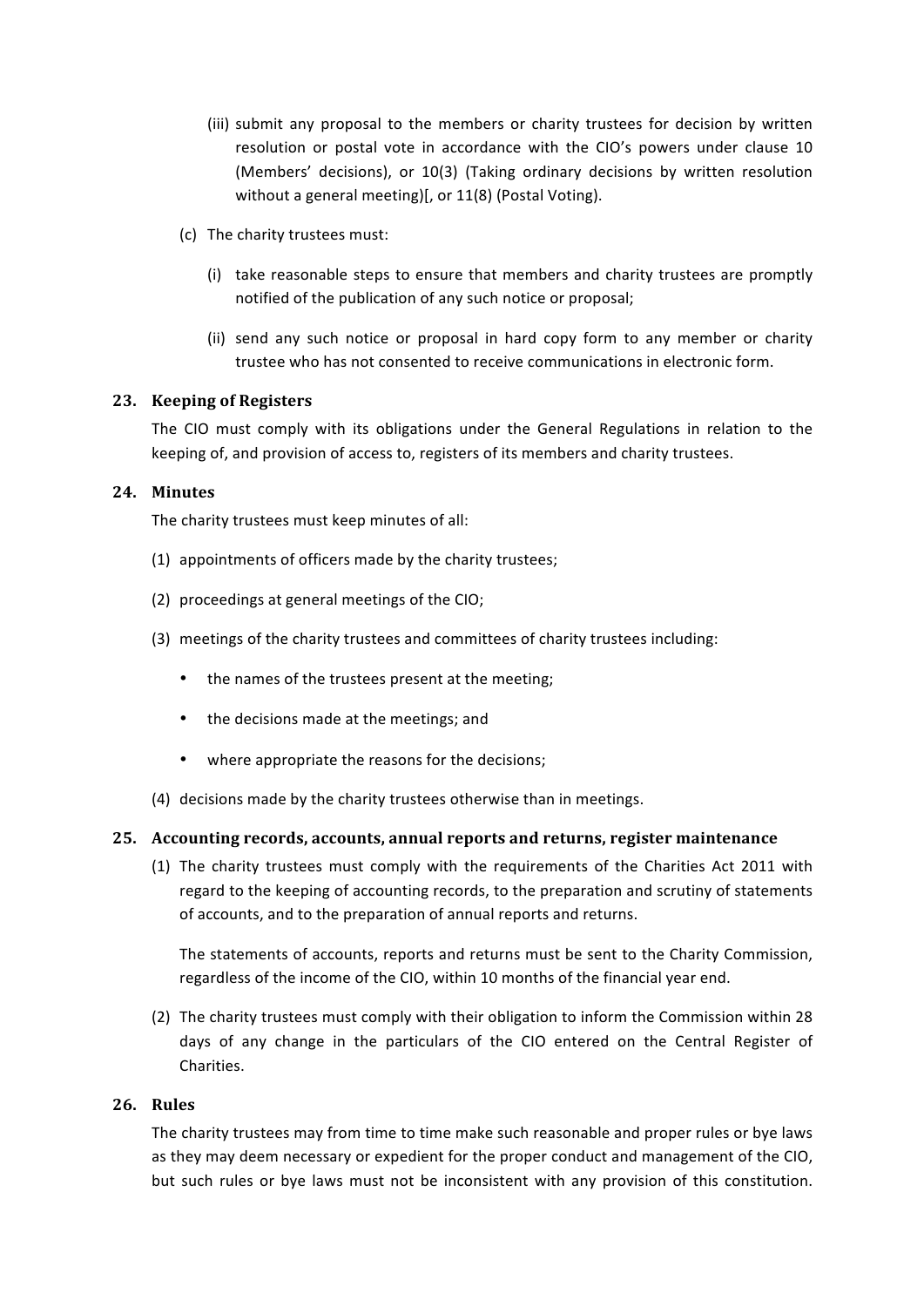- (iii) submit any proposal to the members or charity trustees for decision by written resolution or postal vote in accordance with the CIO's powers under clause 10 (Members' decisions), or 10(3) (Taking ordinary decisions by written resolution without a general meeting)[, or 11(8) (Postal Voting).
- (c) The charity trustees must:
	- (i) take reasonable steps to ensure that members and charity trustees are promptly notified of the publication of any such notice or proposal;
	- (ii) send any such notice or proposal in hard copy form to any member or charity trustee who has not consented to receive communications in electronic form.

# **23. Keeping of Registers**

The CIO must comply with its obligations under the General Regulations in relation to the keeping of, and provision of access to, registers of its members and charity trustees.

#### **24. Minutes**

The charity trustees must keep minutes of all:

- (1) appointments of officers made by the charity trustees;
- (2) proceedings at general meetings of the CIO;
- (3) meetings of the charity trustees and committees of charity trustees including:
	- the names of the trustees present at the meeting;
	- the decisions made at the meetings; and
	- where appropriate the reasons for the decisions;
- (4) decisions made by the charity trustees otherwise than in meetings.

#### **25.** Accounting records, accounts, annual reports and returns, register maintenance

(1) The charity trustees must comply with the requirements of the Charities Act 2011 with regard to the keeping of accounting records, to the preparation and scrutiny of statements of accounts, and to the preparation of annual reports and returns.

The statements of accounts, reports and returns must be sent to the Charity Commission, regardless of the income of the CIO, within 10 months of the financial year end.

(2) The charity trustees must comply with their obligation to inform the Commission within 28 days of any change in the particulars of the CIO entered on the Central Register of Charities.

#### **26. Rules**

The charity trustees may from time to time make such reasonable and proper rules or bye laws as they may deem necessary or expedient for the proper conduct and management of the CIO, but such rules or bye laws must not be inconsistent with any provision of this constitution.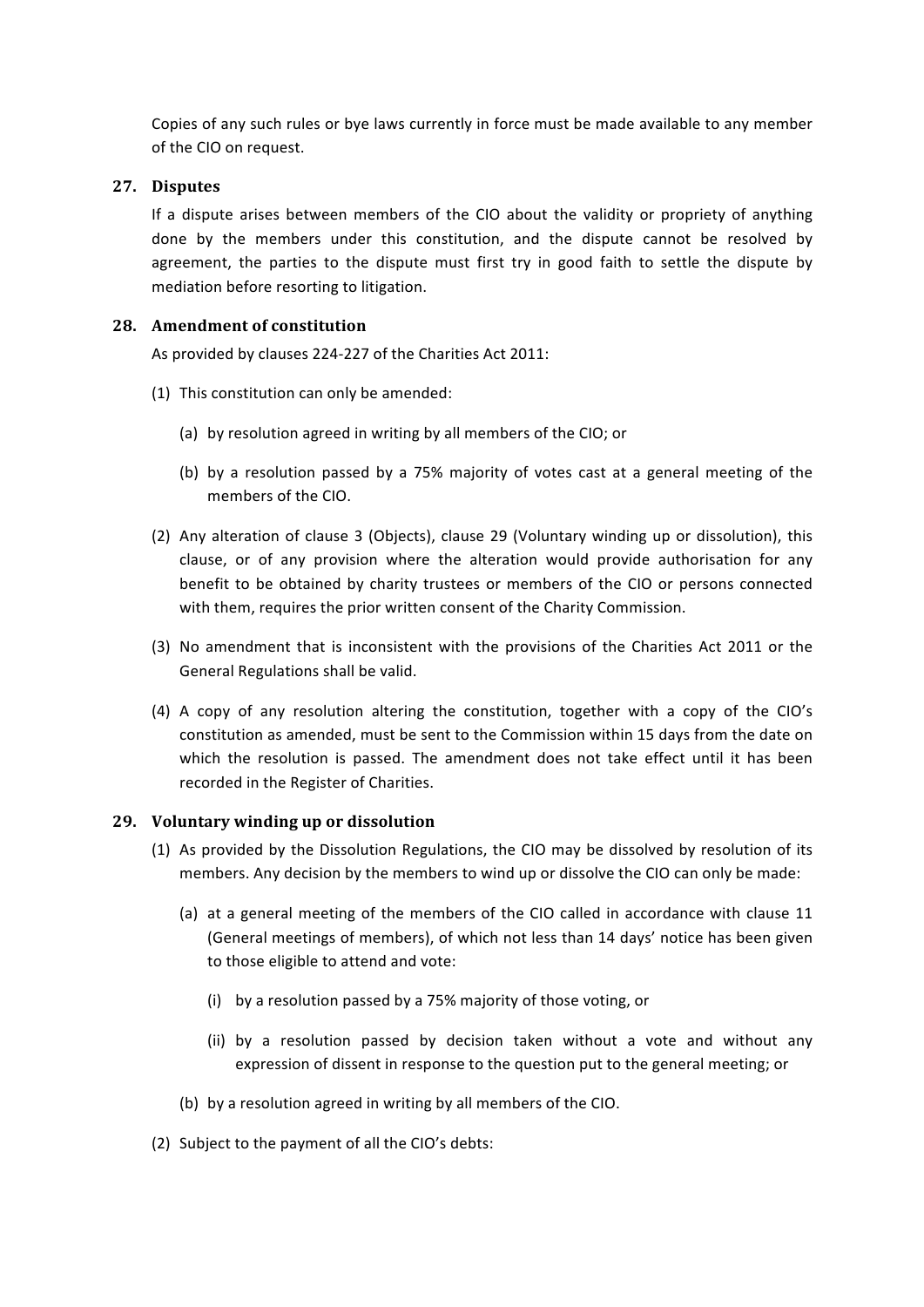Copies of any such rules or bye laws currently in force must be made available to any member of the CIO on request.

#### **27. Disputes**

If a dispute arises between members of the CIO about the validity or propriety of anything done by the members under this constitution, and the dispute cannot be resolved by agreement, the parties to the dispute must first try in good faith to settle the dispute by mediation before resorting to litigation.

#### **28.** Amendment of constitution

As provided by clauses 224-227 of the Charities Act 2011:

- (1) This constitution can only be amended:
	- (a) by resolution agreed in writing by all members of the CIO; or
	- (b) by a resolution passed by a 75% majority of votes cast at a general meeting of the members of the CIO.
- (2) Any alteration of clause 3 (Objects), clause 29 (Voluntary winding up or dissolution), this clause, or of any provision where the alteration would provide authorisation for any benefit to be obtained by charity trustees or members of the CIO or persons connected with them, requires the prior written consent of the Charity Commission.
- (3) No amendment that is inconsistent with the provisions of the Charities Act 2011 or the General Regulations shall be valid.
- (4) A copy of any resolution altering the constitution, together with a copy of the  $ClO's$ constitution as amended, must be sent to the Commission within 15 days from the date on which the resolution is passed. The amendment does not take effect until it has been recorded in the Register of Charities.

#### **29. Voluntary winding up or dissolution**

- (1) As provided by the Dissolution Regulations, the CIO may be dissolved by resolution of its members. Any decision by the members to wind up or dissolve the CIO can only be made:
	- (a) at a general meeting of the members of the CIO called in accordance with clause 11 (General meetings of members), of which not less than 14 days' notice has been given to those eligible to attend and vote:
		- (i) by a resolution passed by a 75% majority of those voting, or
		- (ii) by a resolution passed by decision taken without a vote and without any expression of dissent in response to the question put to the general meeting; or
	- (b) by a resolution agreed in writing by all members of the CIO.
- (2) Subject to the payment of all the CIO's debts: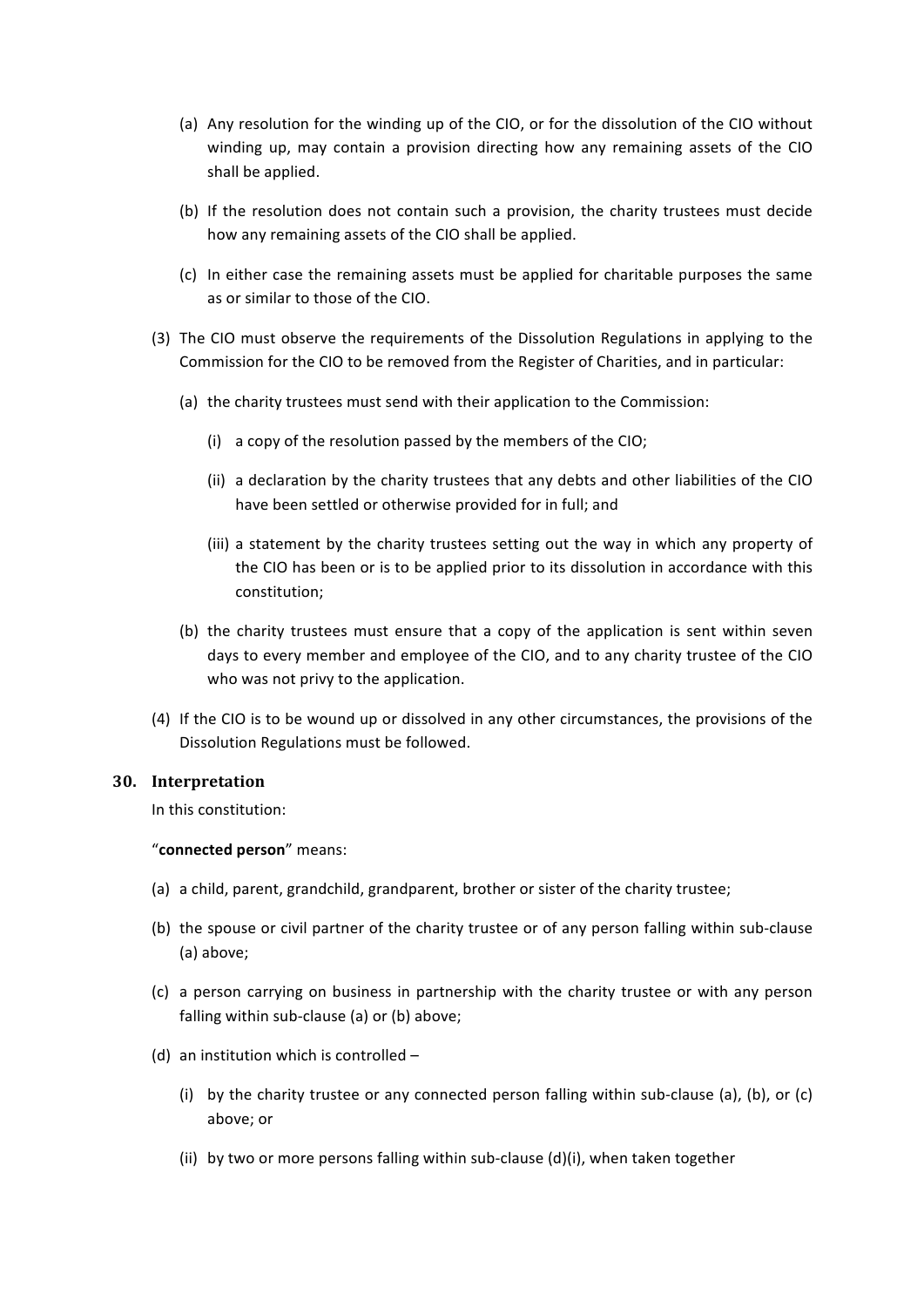- (a) Any resolution for the winding up of the CIO, or for the dissolution of the CIO without winding up, may contain a provision directing how any remaining assets of the CIO shall be applied.
- (b) If the resolution does not contain such a provision, the charity trustees must decide how any remaining assets of the CIO shall be applied.
- (c) In either case the remaining assets must be applied for charitable purposes the same as or similar to those of the CIO.
- (3) The CIO must observe the requirements of the Dissolution Regulations in applying to the Commission for the CIO to be removed from the Register of Charities, and in particular:
	- (a) the charity trustees must send with their application to the Commission:
		- (i) a copy of the resolution passed by the members of the CIO;
		- (ii) a declaration by the charity trustees that any debts and other liabilities of the CIO have been settled or otherwise provided for in full; and
		- (iii) a statement by the charity trustees setting out the way in which any property of the CIO has been or is to be applied prior to its dissolution in accordance with this constitution;
	- (b) the charity trustees must ensure that a copy of the application is sent within seven days to every member and employee of the CIO, and to any charity trustee of the CIO who was not privy to the application.
- (4) If the CIO is to be wound up or dissolved in any other circumstances, the provisions of the Dissolution Regulations must be followed.

#### **30. Interpretation**

In this constitution:

#### "connected person" means:

- (a) a child, parent, grandchild, grandparent, brother or sister of the charity trustee;
- (b) the spouse or civil partner of the charity trustee or of any person falling within sub-clause (a) above;
- (c) a person carrying on business in partnership with the charity trustee or with any person falling within sub-clause (a) or (b) above;
- (d) an institution which is controlled  $-$ 
	- (i) by the charity trustee or any connected person falling within sub-clause (a), (b), or (c) above; or
	- (ii) by two or more persons falling within sub-clause  $(d)(i)$ , when taken together